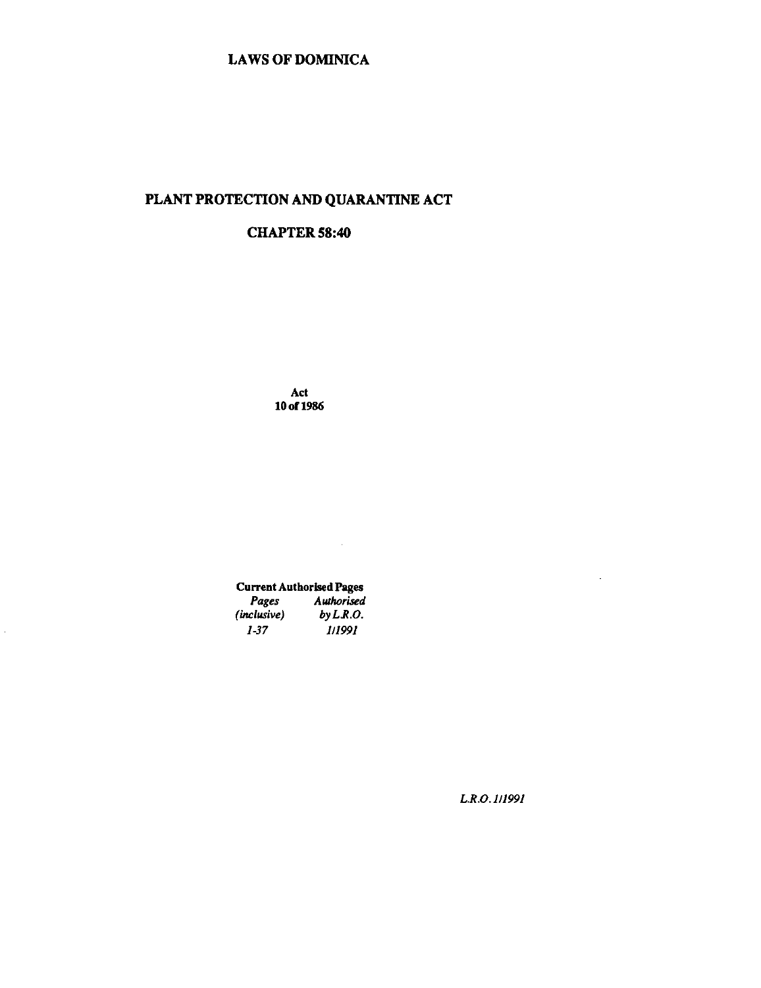## PLANT PROTECTION AND QUARANTINE ACT

## CHAPTER 58:40

Act lOof1986

# Current Authorised Pages

 $\sim 10$ 

| Pages       | <b>Authorised</b> |
|-------------|-------------------|
| (inclusive) | by LRO.           |
| 1-37        | 1/1991            |

 $\bar{\mathcal{A}}$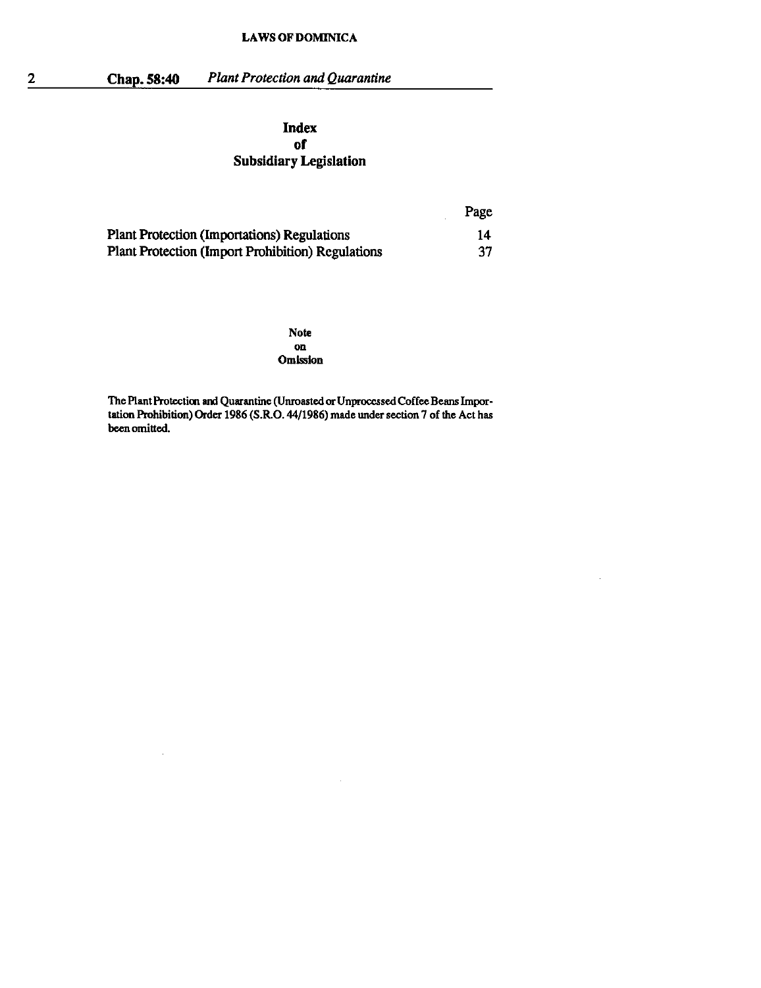2 Chap. 58:40 *Plant Protection and Quarantine* 

 $\bar{a}$ 

## Index of Subsidiary Legislation

|                                                    | Page |
|----------------------------------------------------|------|
| <b>Plant Protection (Importations) Regulations</b> | 14   |
| Plant Protection (Import Prohibition) Regulations  | -37  |

Note on Omission

The Plant Protection and Quarantine (Unroasted or Unprocessed Coffee Beans Importation Prohibition) Order 1986 (S.R.O. 44/1986) made under section 7 of the Act has been omitted.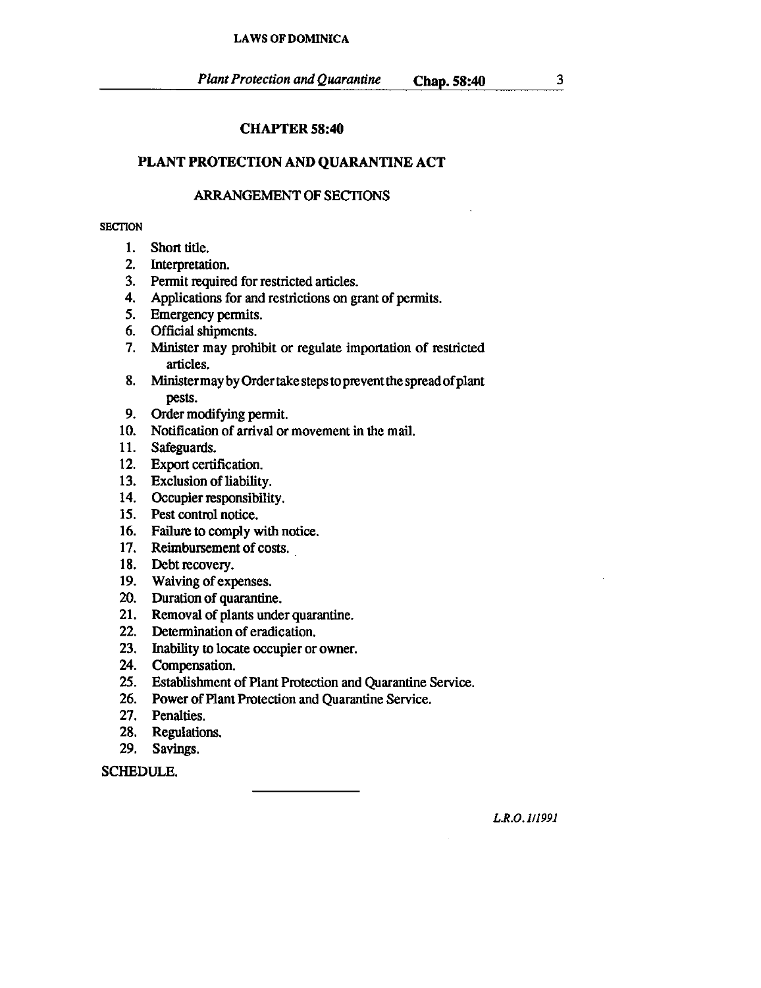## CHAPTER 58:40

## PLANT PROTECTION AND QUARANTINE ACT

## ARRANGEMENT OF SECTIONS

### **SECTION**

- 1. Short title.
- 2. Interpretation.
- 3. Pennit required for restricted articles.
- 4. Applications for and restrictions on grant of pennits.
- 5. Emergency pennits.
- 6. Official shipments.
- 7. Minister may prohibit or regulate importation of restricted articles.
- 8. Ministermay by Order take steps to prevent the spread of plant pests.
- 9. Order modifying pennit.
- 10. Notification of artival or movement in the mail.
- 11. Safeguards.
- 12. Export certification.
- 13. Exclusion of liability.
- 14. Occupier responsibility.
- 15. Pest control notice.
- 16. Failure to comply with notice.
- 17. Reimbursement of costs.
- 18. Debt recovery.
- 19. Waiving of expenses.
- 20. Duration of quarantine.
- 21. Removal of plants under quarantine.
- 22. Detennination of eradication.
- 23. Inability to locate occupier or owner.
- 24. Compensation.
- 25. Establishment of Plant Protection and Quarantine Service.
- 26. Power of Plant Protection and Quarantine Service.
- 27. Penalties.
- 28. Regulations.
- 29. Savings.

SCHEDULE.

*L.R.O.l!1991*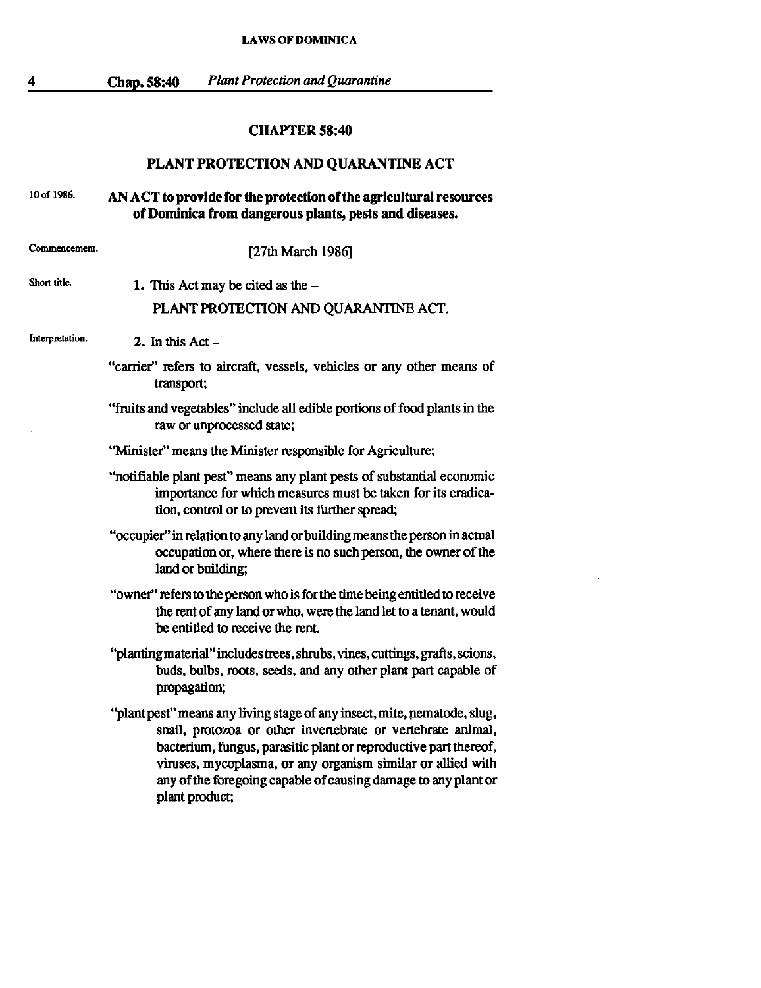4

Chap. 58:40 *Plant Protection and Quarantine* 

## CHAPTER 58:40

## PLANT PROTECTION AND QUARANTINE ACT

#### 10 of 1986. AN ACT to provide for the protection of the agricultural resources of Dominica from dangerous plants, pests and diseases.

**Commencement. Short title.**  [27th March 1986] 1. This Act may be cited as the  $-$ PLANT PROTECTION AND QUARANTINE ACT.

**Interpretation.** 2. In this  $Act -$ 

- "carrier" refers to aircraft, vessels, vehicles or any other means of transport;
- "fruits and vegetables" include all edible portions of food plants in the raw or unprocessed state;
- "Minister" means the Minister responsible for Agriculture;
- ''notifiable plant pest" means any plant pests of substantial economic importance for which measures must be taken for its eradication, control or to prevent its further spread;
- "occupier" in relation to any land or building means the person in actual occupation or, where there is no such person, the owner of the land or building;
- "owner" refers to the person who is for the time being entitled to receive the rent of any land or who, were the land let to a tenant, would be entitled to receive the rent
- "plantingmaterial"includes trees, shrubs, vines, cuttings, grafts, scions, buds, bulbs, roots, seeds, and any other plant part capable of propagation;
- "plant pest" means any living stage of any insect, mite, nematode, slug, snail, protozoa or other invertebrate or vertebrate animal, bacterium, fungus, parasitic plant or reproductive part thereof, viruses, mycoplasma, or any organism similar or allied with any of the foregoing capable of causing damage to any plant or plant product;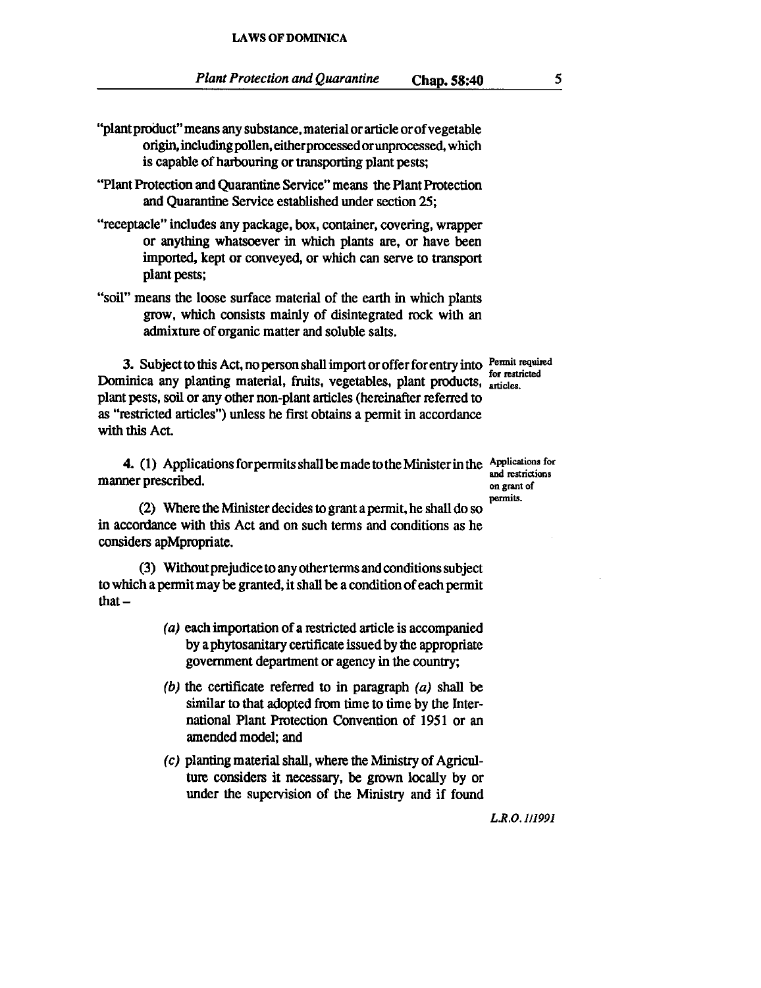- ''plant product" means any substance. material or article orof vegetable origin, including pollen, either processed orunprocessed, which is capable of harbouring or transporting plant pests;
- "Plant Protection and Quarantine Service" means the Plant Protection and Quarantine Service established under section 25;
- "receptacle" includes any package, box, container, covering, wrapper or anything whatsoever in which plants are, or have been imported, kept or conveyed, or which can serve to transport plant pests;
- "soil" means the loose surface material of the earth in which plants grow, which consists mainly of disintegrated rock with an admixture of organic matter and soluble salts.

3. Subject to this Act, no person shall import or offer for entry into  $\frac{\text{Permit required}}{\text{for restricted}}$ Dominica any planting material, fruits, vegetables, plant products, articles. plant pests, soil or any other non-plant articles (hereinafter referred to as "restricted articles") unless he first obtains a pennit in accordance with this Act.

4. (1) Applications for permits shall be made to the Minister in the Applications for each perscribed. manner prescribed.

(2) Where the Minister decides to grant a permit, he shall do so permits. in accordance with this Act and on such terms and conditions as he considers apMpropriate.

(3) Without prejudice to any otherterms and conditions subject to which a permit may be granted, it shall be a condition of each permit that $-$ 

- (a) each importation of a restricted article is accompanied by a phytosanitary certificate issued by the appropriate government department or agency in the country;
- (b) the certificate referred to in paragraph  $(a)$  shall be similar to that adopted from time to time by the International Plant Protection Convention of 1951 or an amended model; and
- $(c)$  planting material shall, where the Ministry of Agriculture considers it necessary, be grown locally by or under the supervision of the Ministry and if found

*L.R.O.1I199J*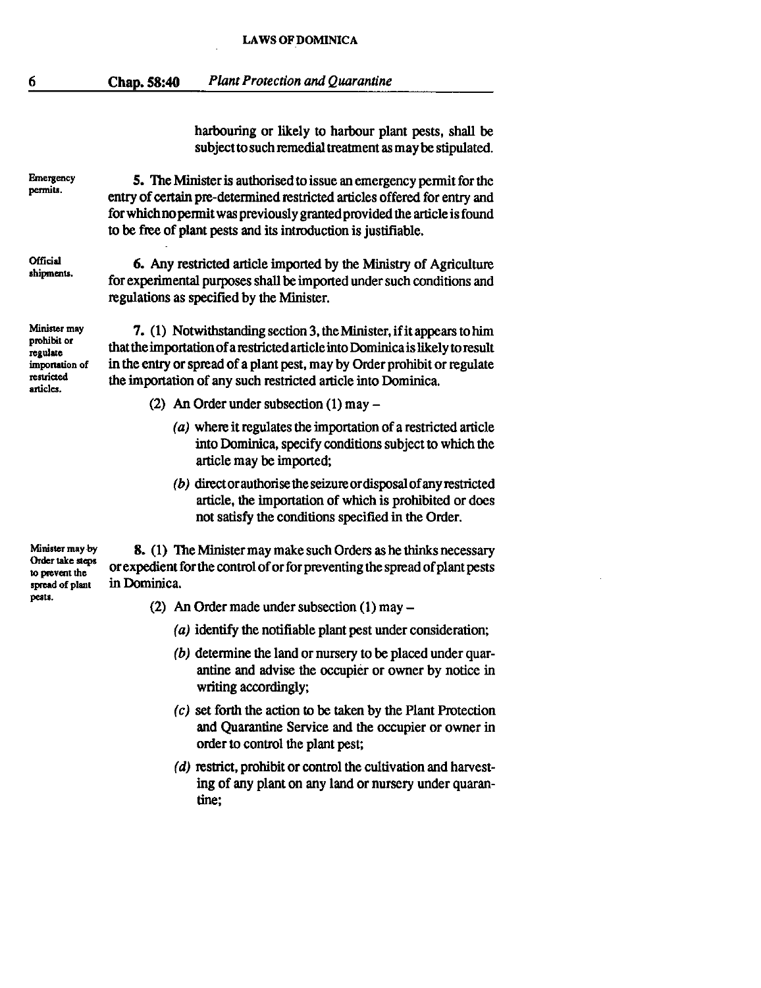harbouring or likely to harbour plant pests, shall be subject to such remedial treatment as may be stipulated.

**Emergency permits.** 

6

5. The Minister is authorised to issue an emergency permit for the entry of certain pre-determined restricted articles offered for entry and for which no permit was previously granted provided the article is found to be free of plant pests and its introduction is justifiable.

**Official shipments.** 

6. Any restricted article imported by the Ministry of Agriculture for experimental purposes shall be imported under such conditions and regulations as specified by the Minister.

**Minister may prohibit or regulate importation of restricted articles.** 

7. (1) Notwithstanding section 3, the Minister, if it appears to him that the importation of a restricted article into Dominica is likely to result in the entry or spread of a plant pest, may by Order prohibit or regulate the importation of any such restricted article into Dominica.

- (2) An Order under subsection  $(1)$  may  $-$ 
	- (a) where it regulates the importation of a restricted article into Dominica, specify conditions subject to which the article may be imported;
	- (b) director authorise the seizure or disposal of any restricted article, the importation of which is prohibited or does not satisfy the conditions specified in the Order.

**Minister may.by Order take steps to prevent the spread of plant pests.** 

8. (1) The Minister may make such Orders as he thinks necessary or expedient for the control of or for preventing the spread of plant pests in Dominica.

- (2) An Order made under subsection  $(1)$  may  $-$ 
	- (a) identify the notifiable plant pest under consideration;
	- (b) determine the land or nursery to be placed under quarantine and advise the occupier or owner by notice in writing accordingly;
	- (c) set forth the action to be taken by the Plant Protection and Quarantine Service and the occupier or owner in order to control the plant pest;
	- (d) restrict, prohibit or control the cultivation and harvesting of any plant on any land or nursery under quarantine;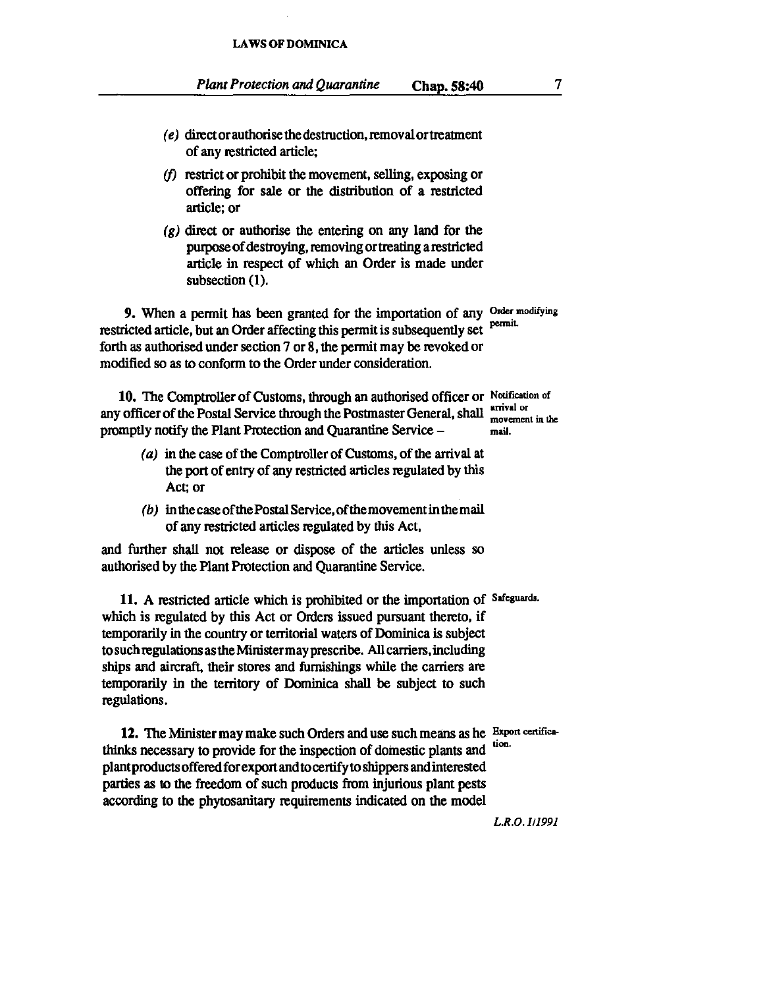- $(e)$  direct or authorise the destruction, removal or treatment of any restricted article;
- $(f)$  restrict or prohibit the movement, selling, exposing or offering for sale or the distribution of a restricted article; or
- $(g)$  direct or authorise the entering on any land for the purpose of destroying, removing or treating a restricted article in respect of which an Order is made under subsection (1).

9. When a permit has been granted for the importation of any Order modifying restricted article, but an Order affecting this permit is subsequently set forth as authorised under section 7 or 8, the permit may be revoked or modified so as to conform to the Order under consideration.

10. The Comptroller of Customs, through an authorised officer or Notification of any officer of the Postal Service through the Postmaster General, shall anival or movement in the promptly notify the Plant Protection and Quarantine Service - mail.

- (a) in the case of the Comptroller of Customs, of the arrival at the port of entry of any restricted articles regulated by this Act; or
- (b) in the case of the Postal Service, of the movement in the mail of any restricted articles regulated by this Act,

and further shall not release or dispose of the articles unless so authorised by the Plant Protection and Quarantine Service.

11. A restricted article which is prohibited or the importation of Safeguards. which is regulated by this Act or Orders issued pursuant thereto, if temporarily in the country or territorial waters of Dominica is subject tosuch regulations as the Ministermay prescribe. All carriers, including ships and aircraft, their stores and furnishings while the carriers are temporarily in the territory of Dominica shall be subject to such regulations.

12. The Minister may make such Orders and use such means as he Expon certifica-<br>he's necessary to provide for the increasion of domagic plants and tion. thinks necessary to provide for the inspection of domestic plants and plantproductsofferedforexportandtocertifyto shippers and interested parties as to the freedom of such products from injurious plant pests according to the phytosanitary requirements indicated on the model

*L.R.O.1Il99J*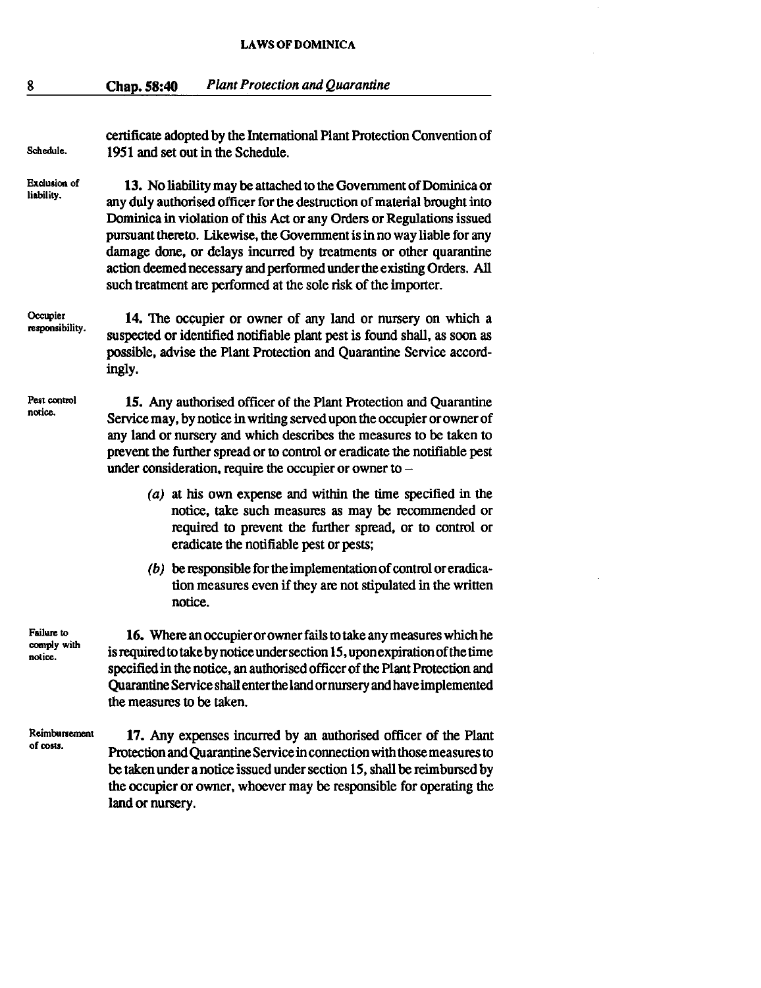| Schedule.                            | certificate adopted by the International Plant Protection Convention of<br>1951 and set out in the Schedule.                                                                                                                                                                                                                                                                                                                                                                                                    |  |  |
|--------------------------------------|-----------------------------------------------------------------------------------------------------------------------------------------------------------------------------------------------------------------------------------------------------------------------------------------------------------------------------------------------------------------------------------------------------------------------------------------------------------------------------------------------------------------|--|--|
| <b>Exclusion of</b><br>liability.    | 13. No liability may be attached to the Government of Dominica or<br>any duly authorised officer for the destruction of material brought into<br>Dominica in violation of this Act or any Orders or Regulations issued<br>pursuant thereto. Likewise, the Government is in no way liable for any<br>damage done, or delays incurred by treatments or other quarantine<br>action deemed necessary and performed under the existing Orders. All<br>such treatment are performed at the sole risk of the importer. |  |  |
| Occupier<br>responsibility.          | 14. The occupier or owner of any land or nursery on which a<br>suspected or identified notifiable plant pest is found shall, as soon as<br>possible, advise the Plant Protection and Quarantine Service accord-<br>ingly.                                                                                                                                                                                                                                                                                       |  |  |
| Pest control<br>notice.              | 15. Any authorised officer of the Plant Protection and Quarantine<br>Service may, by notice in writing served upon the occupier or owner of<br>any land or nursery and which describes the measures to be taken to<br>prevent the further spread or to control or eradicate the notifiable pest<br>under consideration, require the occupier or owner to $-$                                                                                                                                                    |  |  |
|                                      | $(a)$ at his own expense and within the time specified in the<br>notice, take such measures as may be recommended or<br>required to prevent the further spread, or to control or<br>eradicate the notifiable pest or pests;                                                                                                                                                                                                                                                                                     |  |  |
|                                      | $(b)$ be responsible for the implementation of control or eradica-<br>tion measures even if they are not stipulated in the written<br>notice.                                                                                                                                                                                                                                                                                                                                                                   |  |  |
| Failure to<br>comply with<br>notice. | 16. Where an occupier or owner fails to take any measures which he<br>is required to take by notice under section 15, upon expiration of the time<br>specified in the notice, an authorised officer of the Plant Protection and<br>Quarantine Service shall enter the land or nursery and have implemented<br>the measures to be taken.                                                                                                                                                                         |  |  |
| Reimbursement<br>of costs.           | 17. Any expenses incurred by an authorised officer of the Plant<br>Protection and Quarantine Service in connection with those measures to<br>be taken under a notice issued under section 15, shall be reimbursed by                                                                                                                                                                                                                                                                                            |  |  |

the occupier or owner, whoever may be responsible for operating the

 $\bar{z}$ 

land or nursery.

8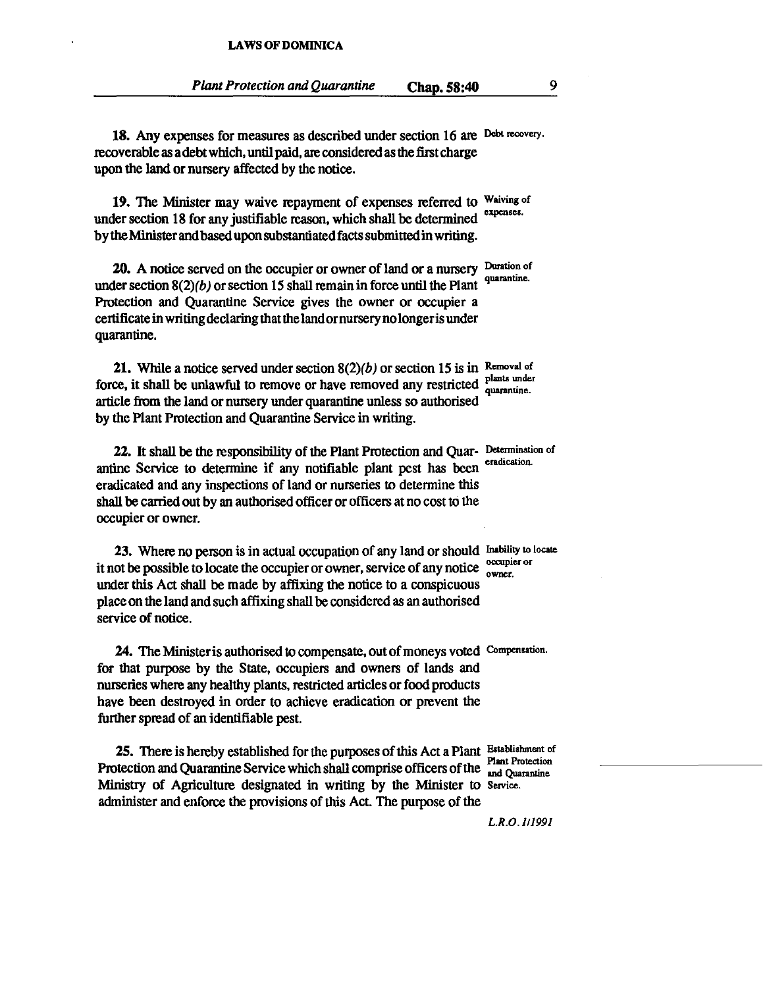18. Any expenses for measures as described under section 16 are Debt recovery. recoverable as a debt which, until paid, are considered as the first charge upon the land or nursery affected by the notice.

19. The Minister may waive repayment of expenses referred to Waiving of under section 18 for any justifiable reason, which shall be determined bytheMinister and based upon substantiated facts submitted in writing.

20. A notice served on the occupier or owner of land or a nursery Duration of under section  $8(2)(b)$  or section 15 shall remain in force until the Plant Protection and Quarantine Service gives the owner or occupier a certificate in writing declaring that the land ornursery no longeris under quarantine.

**21.** While a notice served under section  $8(2)(b)$  or section 15 is in Removal of force, it shall be unlawful to remove or have removed any restricted plants under article from the land or nursery under quarantine unless so authorised by the Plant Protection and Quarantine Service in writing.

22. It shall be the responsibility of the Plant Protection and Quar- Determination of antine Service to determine if any notifiable plant pest has been eradicated and any inspections of land or nurseries to determine this shall be carried out by an authorised officer or officers at no cost to the occupier or owner.

23. Where no person is in actual occupation of any land or should Inability to locate it not be possible to locate the occupier or owner, service of any notice  $\frac{\text{occupier}}{\text{owner}}$ under this Act shall be made by affixing the notice to a conspicuous place on the land and such affixing shall be considered as an authorised service of notice.

24. The Ministeris authorised to compensate, out of moneys voted Compensation. for that purpose by the State, occupiers and owners of lands and nurseries where any healthy plants, restricted articles or food products have been destroyed in order to achieve eradication or prevent the further spread of an identifiable pest.

25. There is hereby established for the purposes of this Act a Plant Establishment of Protection and Quarantine Service which shall comprise officers of the sand Quarantine Ministry of Agriculture designated in writing by the Minister to Service. administer and enforce the provisions of this Act. The purpose of the

*L.R.O. Itl991*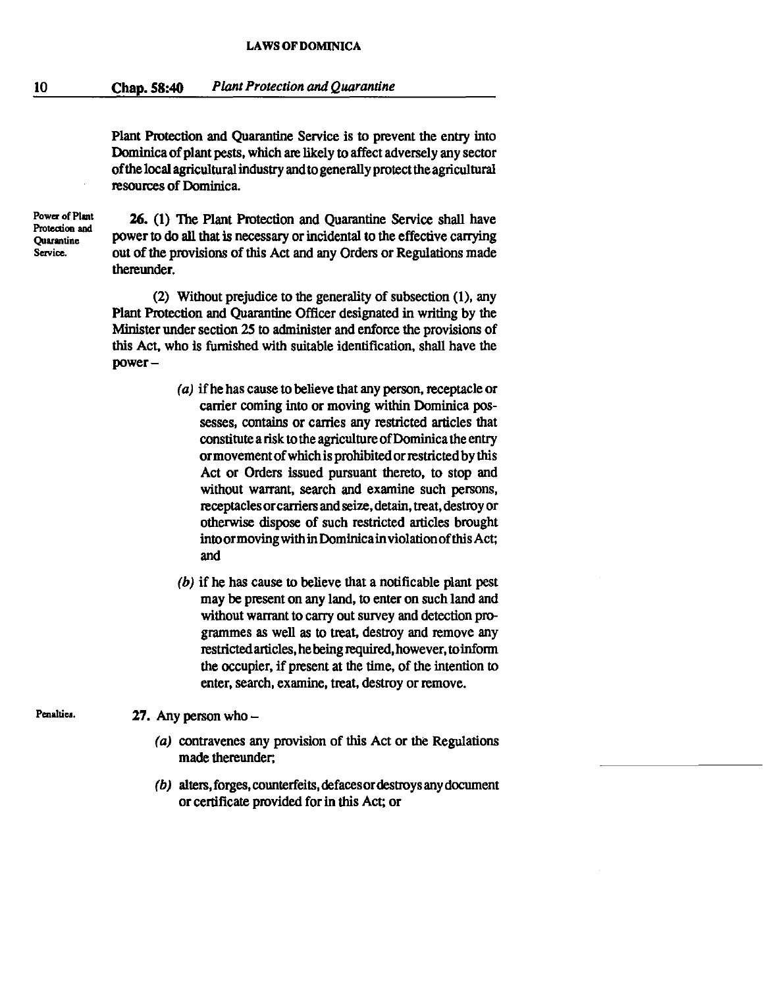Plant Protection and Ouarantine Service is to prevent the entry into Dominica of plant pests, which are likely to affect adversely any sector of the local agricultural industty and to generally protect the agricultural resources of Dominica.

**Power** of Plant Protection and **Quarantine Service.** 

Penalties.

26. (1) The Plant Protection and Quarantine Service shall have power to do all that is necessary or incidental to the effective carrying out of the provisions of this Act and any Orders or Regulations made thereunder.

(2) Without prejudice to the generality of subsection (l), any Plant Protection and Quarantine Officer designated in writing by the Minister under section 25 to administer and enforce the provisions of this Act, who is furnished with suitable identification, shall have the power-

- (a) if he has cause to believe that any person, receptacle or carrier coming into or moving within Dominica possesses, contains or carries any restricted articles that constitute a risk to the agriculture of Dominica the entty or movement of which is prohibited or restricted by this Act or Orders issued pursuant thereto, to stop and without warrant, search and examine such persons, receptacles orcarriers and seize, detain, treat, destroy or otherwise dispose of such restricted articles brought intoormoving within Dominicainviolationofthis Act; and
- (b) if he has cause to believe that a notificable plant pest may be present on any land, to enter on such land and without warrant to carry out survey and detection programmes as well as to treat, destroy and remove any restricted articles, he being required, however, toinform the occupier, if present at the time, of the intention to enter, search, examine, treat, destroy or remove.

27. Any person who  $-$ 

- (a) contravenes any provision of this Act or the Regulations made thereunder;
- (b) alters, forges, counterfeits, defaces or destroys any document or certificate provided for in this Act; or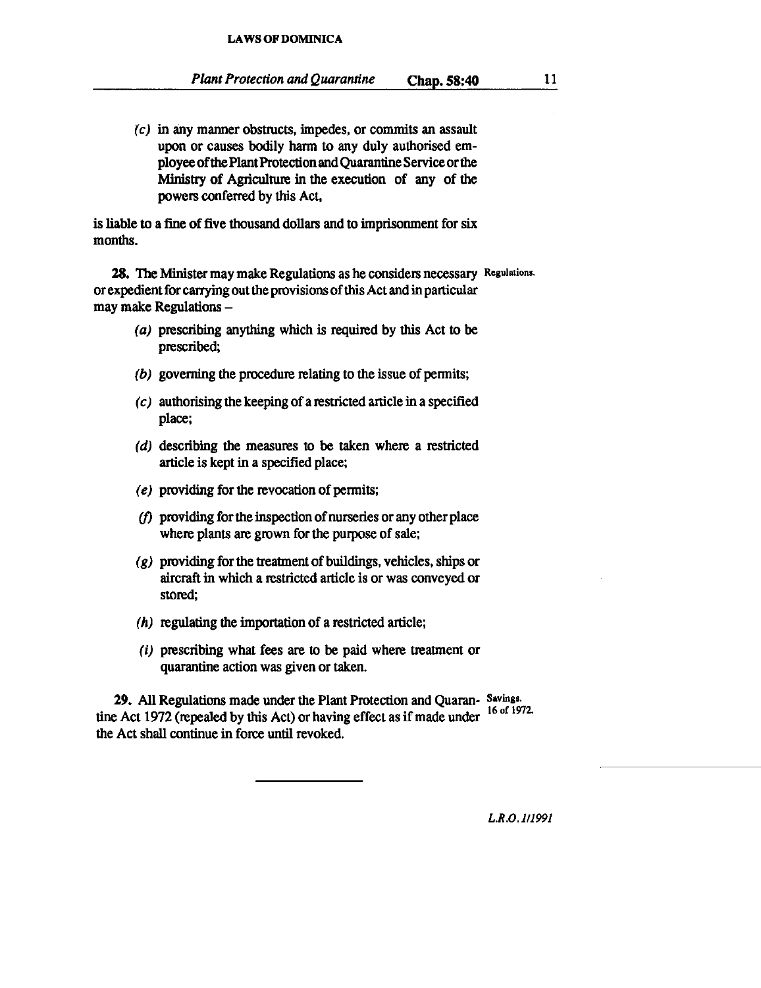$(c)$  in any manner obstructs, impedes, or commits an assault upon or causes bodily harm to any duly authorised employee of the Plant Protection and Quarantine Service or the Ministry of Agriculture in the execution of any of the powers conferred by this Act,

is liable to a fine of five thousand dollars and to imprisonment for six months.

28. The Minister may make Regulations as he considers necessary Regulations. or expedient for carrying out the provisions of this Act and in particular may make Regulations -

- (a) prescribing anything which is required by this Act to be prescribed;
- $(b)$  governing the procedure relating to the issue of permits;
- (c) authorising the keeping of a restricted article in a specified place;
- (d) describing the measures to be taken where a restricted article is kept in a specified place;
- (e) providing for the revocation of pennits;
- $(f)$  providing for the inspection of nurseries or any other place where plants are grown for the purpose of sale;
- $(g)$  providing for the treatment of buildings, vehicles, ships or aircraft in which a restricted article is or was conveyed or stored;
- (h) regulating the importation of a restricted article;
- (i) prescribing what fees are to be paid where treatment or quarantine action was given or taken.

29. All Regulations made under the Plant Protection and Quaran- Savings. tine Act 1972 (repealed by this Act) or having effect as if made under <sup>16 of 1972.</sup> the Act shall continue in force until revoked.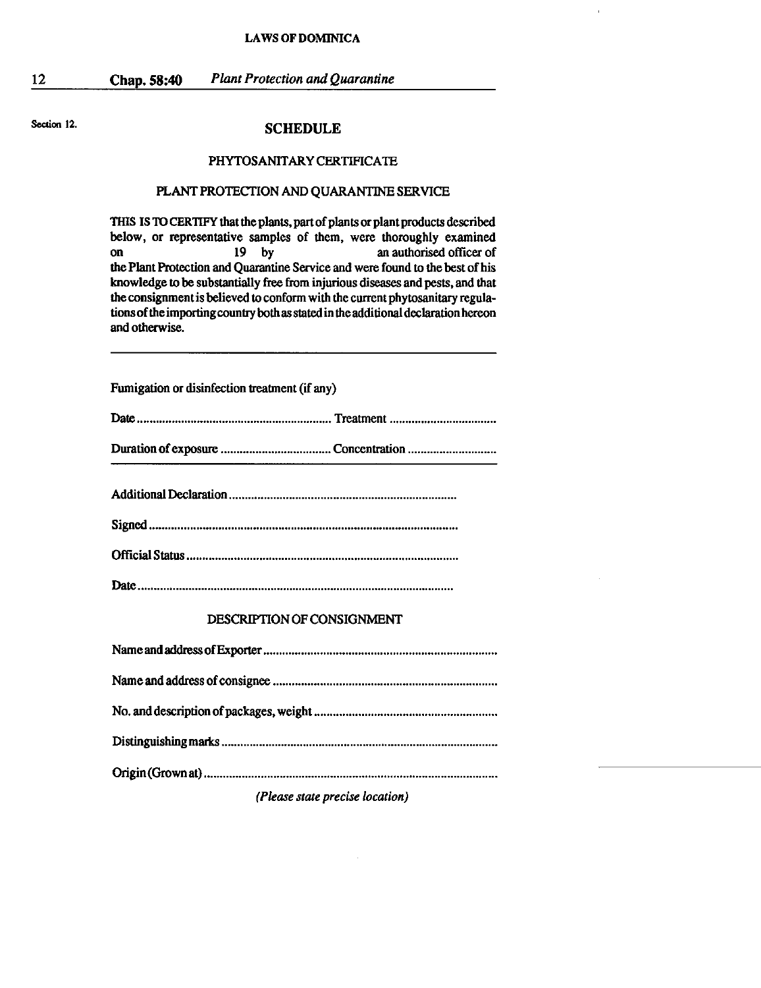Section 12.

12

#### **SCHEDULE**

#### PHYTOSANITARY CERTIFICATE

#### PLANT PROTECTION AND QUARANTINE SERVICE

THIS IS TO CERTIFY that the plants, part of plants or plant products described below, or representative samples of them, were thoroughly examined<br>on an authorised officer of an authorised officer of the Plant Protection and Quarantine Service and were found to the best of his knowledge to be substantially free from injurious diseases and pests, and that the consignment is believed to conform with the current phytosanilary regulations of the importing country both as stated in the additional declaration hereon and otherwise.

Fumigation or disinfection treatment (if any)

|--|--|

Duration of exposure ................................... Concentration .......................... ..

#### DESCRIPTION OF CONSIGNMENT

*(Please state precise location)*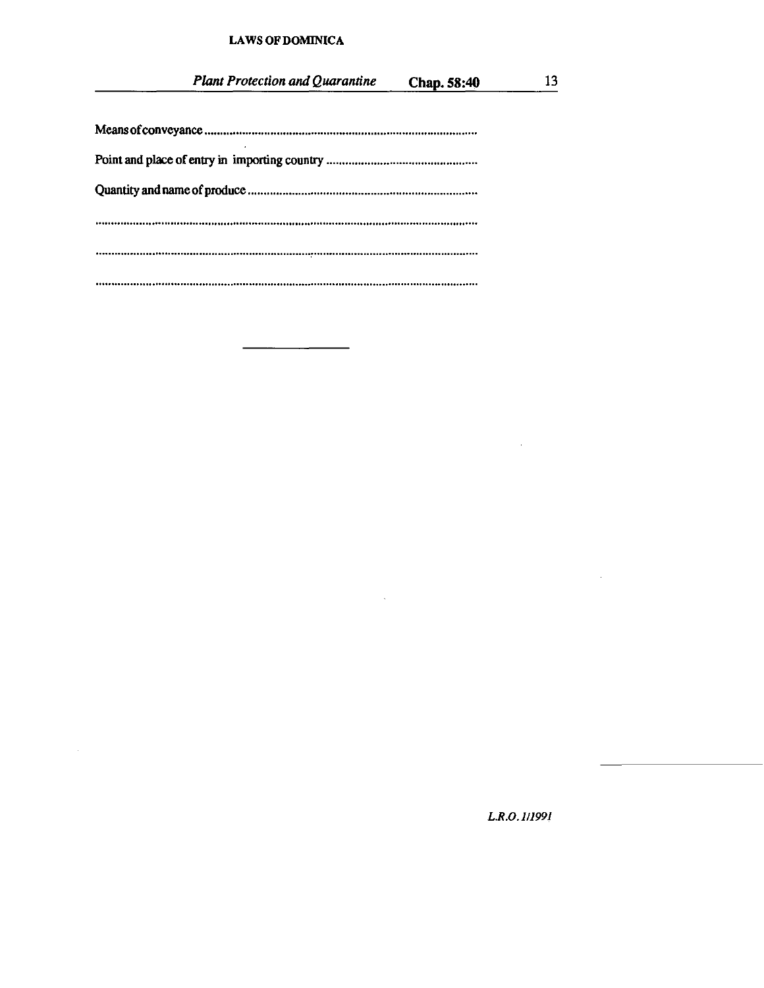$\ddot{\phantom{a}}$ 

 $\sim$ 

*L.R.O.111991* 

 $\bar{z}$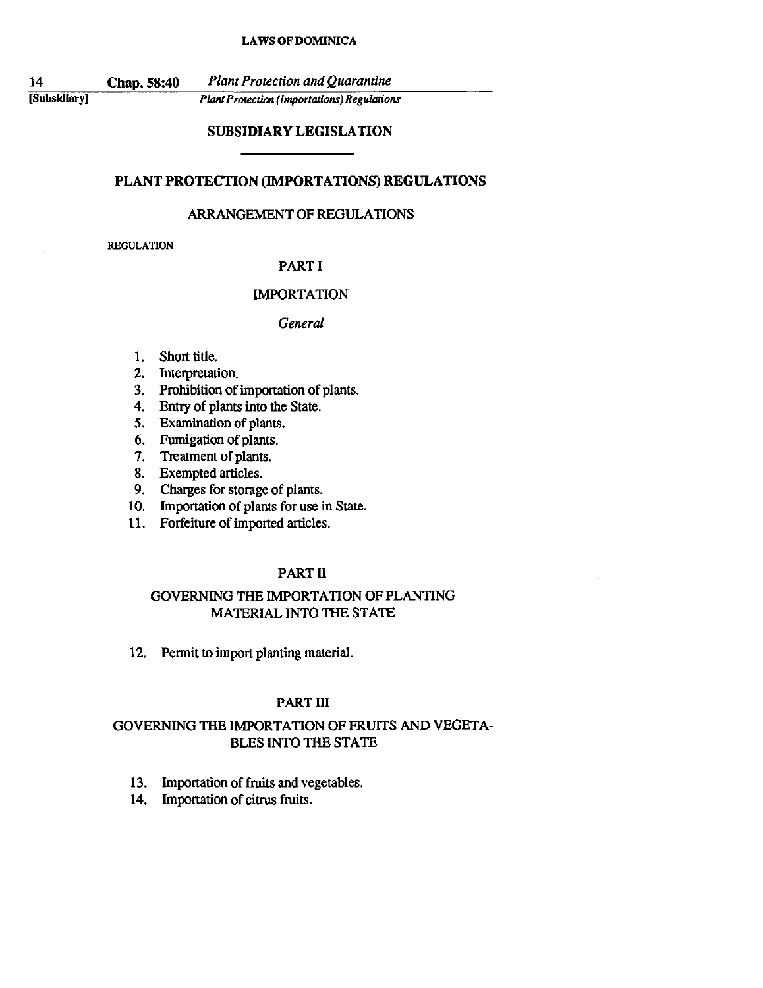14 [Subsidiary I

Chap. 58:40 *Plant Protection and Quarantine* 

*Plan! Protection (Importations) Regulations* 

## SUBSIDIARY LEGISLATION

## PLANT PROTECTION (IMPORTATIONS) REGULATIONS

## ARRANGEMENT OF REGULATIONS

REGULATION

#### PART I

#### IMPORTATION

#### *General*

- 1. Short title.
- 2. Interpretation.
- 3. Prohibition of importation of plants.
- 4. Entry of plants into the State.
- S. Examination of plants.
- 6. Fumigation of plants.
- 7. Treatment of plants.
- 8. Exempted articles.
- 9. Charges for storage of plants.
- 10. Importation of plants for use in State.
- 11. Forfeiture of imported articles.

## PART 11

## GOVERNING THE IMPORTATION OF PLANTING MATERIAL INTO THE STATE

12. Permit to import planting material.

## PART III

## GOVERNING THE IMPORTATION OF FRUITS AND VEGETA-BLES INTO THE STATE

- 13. Importation of fruits and vegetables.
- 14. Importation of citrus fruits.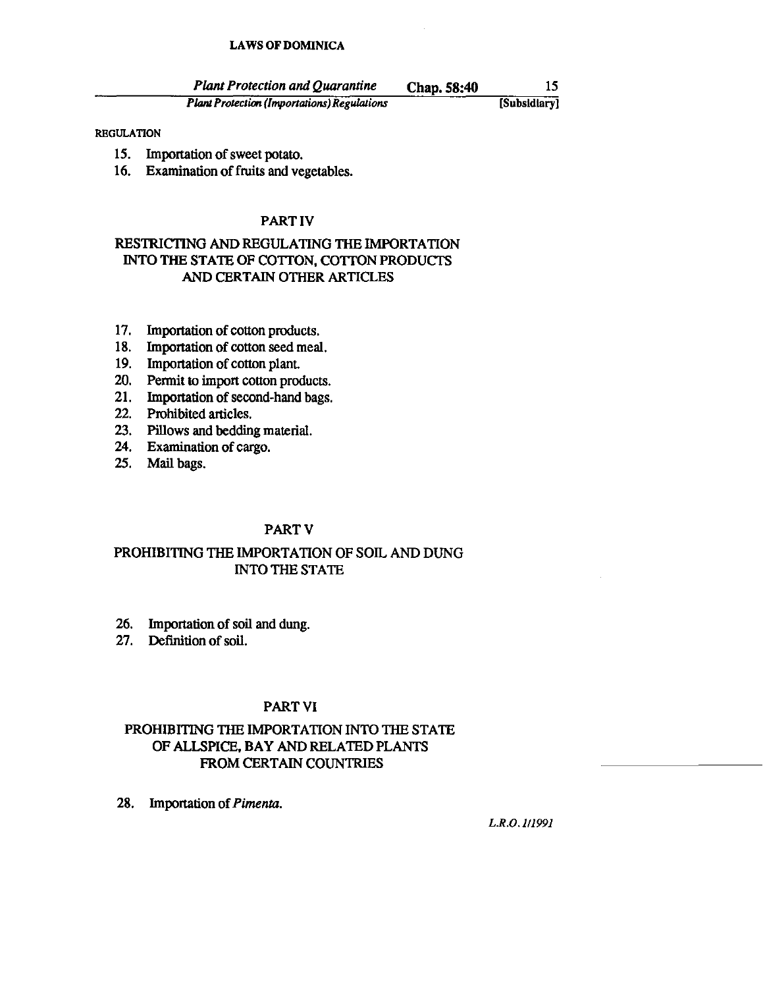| <b>Plant Protection and Quarantine</b>             | Chap. 58:40 |              |
|----------------------------------------------------|-------------|--------------|
| <b>Plant Protection (Importations) Regulations</b> |             | [Subsidiary] |

#### REGULATION

- 15. Importation of sweet potato.
- 16. Examination of fruits and vegetables.

## PART IV

## RESTRICTING AND REGULATING THE IMPORTATION INTO THE STATE OF COTTON, COTTON PRODUCTS AND CERTAIN OTHER ARTICLES

- 17. Importation of cotton products.
- 18. Importation of cotton seed meal.
- 19. Importation of cotton plant
- 20. Pennit to import cotton products.
- 21. Importation of second-hand bags.
- 22. Prohibited articles.
- 23. Pillows and bedding material.
- 24. Examination of cargo.
- 25. Mail bags.

## PARTY

## PROHIBITING THE IMPORTATION OF SOIL AND DUNG INTO THE STATE

- 26. Importation of soil and dung.
- 27. Definition of soil.

## PARTYI

## PROHIBITING THE IMPORTATION INTO THE STATE OF ALLSPICE, BAY AND RELATED PLANTS FROM CERTAIN COUNTRIES

28. Importation of *Pimenta.* 

L.R.O.1II991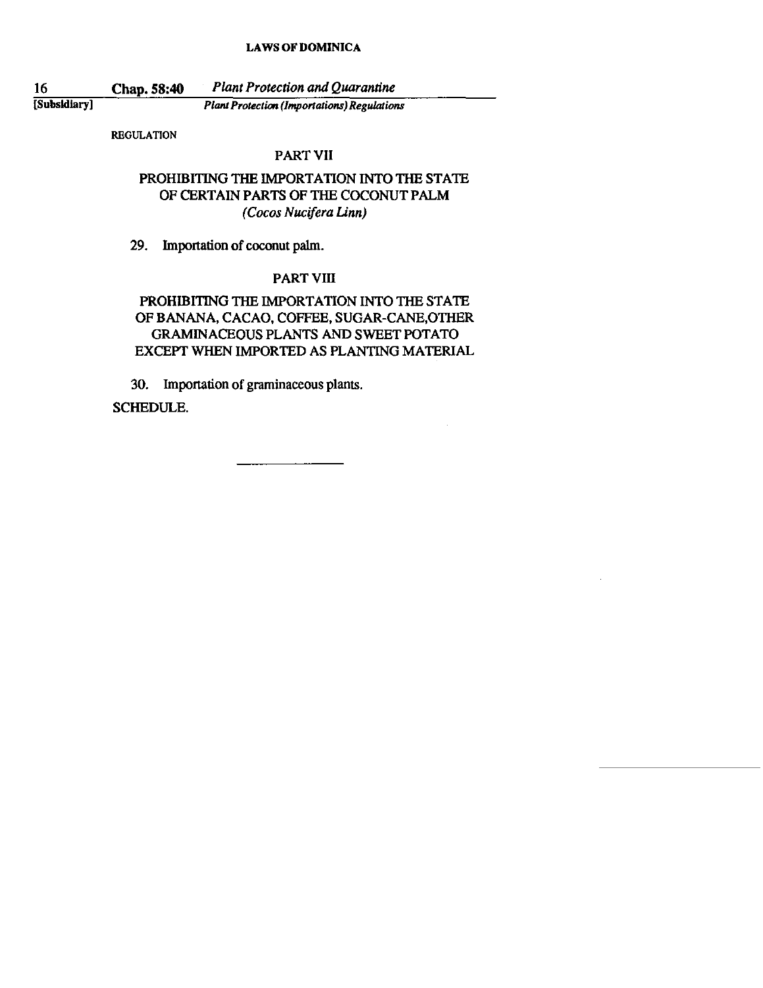16

Chap. 58:40 *Plant Protection and Quarantine* 

[Subsidiary]

*Plant Protection (Importations) Regulations* 

REGULATION

## PART VII

## PROHIBITING THE IMPORTATION INTO THE STATE OF CERTAIN PARTS OF THE COCONUT PALM *(Cocos Nucifera Unn)*

29. Importation of coconut palm.

## PART VIII

## PROHIBITING THE IMPORTATION INTO THE STATE OF BANANA, CACAO, COFFEE, SUGAR-CANE,OTHER GRAMINACEOUS PLANTS AND SWEET POTATO EXCEPT WHEN IMPORTED AS PLANTING MATERIAL

30. Importation of graminaceous plants.

SCHEDULE.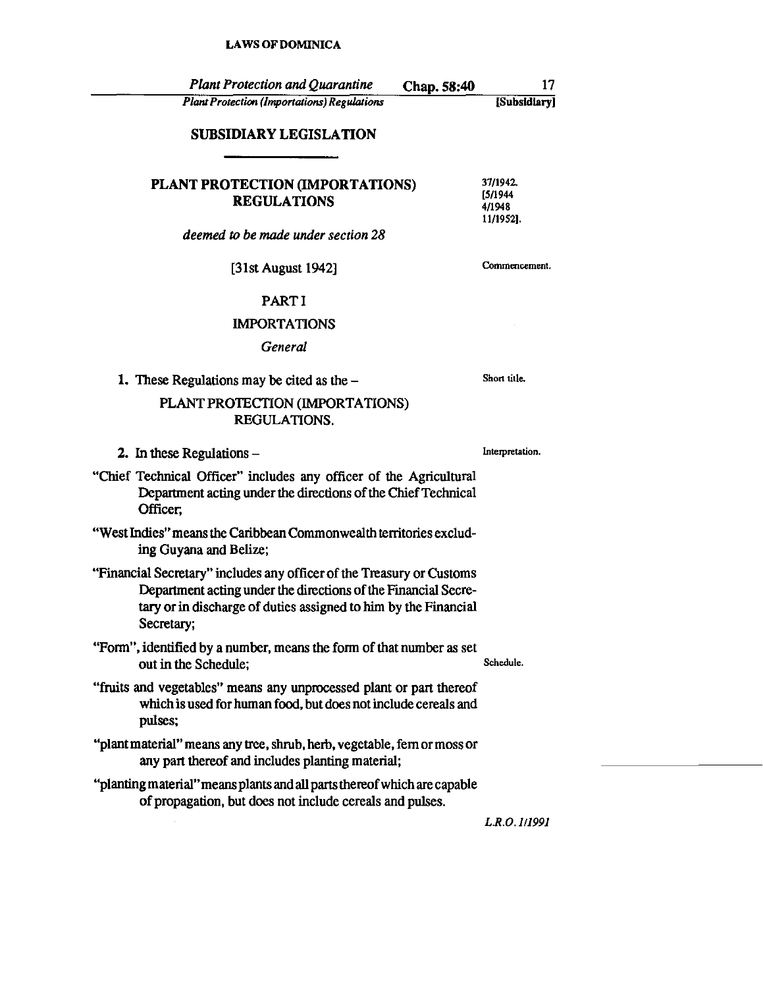| <b>Plant Protection and Quarantine</b>                                                                                                                                                                                   | Chap. 58:40 | 17                                          |
|--------------------------------------------------------------------------------------------------------------------------------------------------------------------------------------------------------------------------|-------------|---------------------------------------------|
| <b>Plant Protection (Importations) Regulations</b>                                                                                                                                                                       |             | [Subsidiary]                                |
| <b>SUBSIDIARY LEGISLATION</b>                                                                                                                                                                                            |             |                                             |
| PLANT PROTECTION (IMPORTATIONS)<br><b>REGULATIONS</b>                                                                                                                                                                    |             | 37/1942.<br>[5/1944]<br>4/1948<br>11/1952]. |
| deemed to be made under section 28                                                                                                                                                                                       |             |                                             |
| [31st August 1942]                                                                                                                                                                                                       |             | Commencement.                               |
| <b>PARTI</b>                                                                                                                                                                                                             |             |                                             |
| <b>IMPORTATIONS</b>                                                                                                                                                                                                      |             |                                             |
| General                                                                                                                                                                                                                  |             |                                             |
| 1. These Regulations may be cited as the $-$                                                                                                                                                                             |             | Short title.                                |
| PLANT PROTECTION (IMPORTATIONS)<br>REGULATIONS.                                                                                                                                                                          |             |                                             |
| 2. In these Regulations $-$                                                                                                                                                                                              |             | Interpretation.                             |
| "Chief Technical Officer" includes any officer of the Agricultural<br>Department acting under the directions of the Chief Technical<br>Officer,                                                                          |             |                                             |
| "West Indies" means the Caribbean Commonwealth territories exclud-<br>ing Guyana and Belize;                                                                                                                             |             |                                             |
| "Financial Secretary" includes any officer of the Treasury or Customs<br>Department acting under the directions of the Financial Secre-<br>tary or in discharge of duties assigned to him by the Financial<br>Secretary; |             |                                             |
| "Form", identified by a number, means the form of that number as set<br>out in the Schedule;                                                                                                                             |             | Schedule.                                   |
| "fruits and vegetables" means any unprocessed plant or part thereof<br>which is used for human food, but does not include cereals and<br>pulses;                                                                         |             |                                             |
| "plant material" means any tree, shrub, herb, vegetable, fern or moss or<br>any part thereof and includes planting material;                                                                                             |             |                                             |
| "planting material" means plants and all parts thereof which are capable<br>of propagation, but does not include cereals and pulses.                                                                                     |             |                                             |
|                                                                                                                                                                                                                          |             | L.R.O. 1/1991                               |

*L.R.O.1I199J*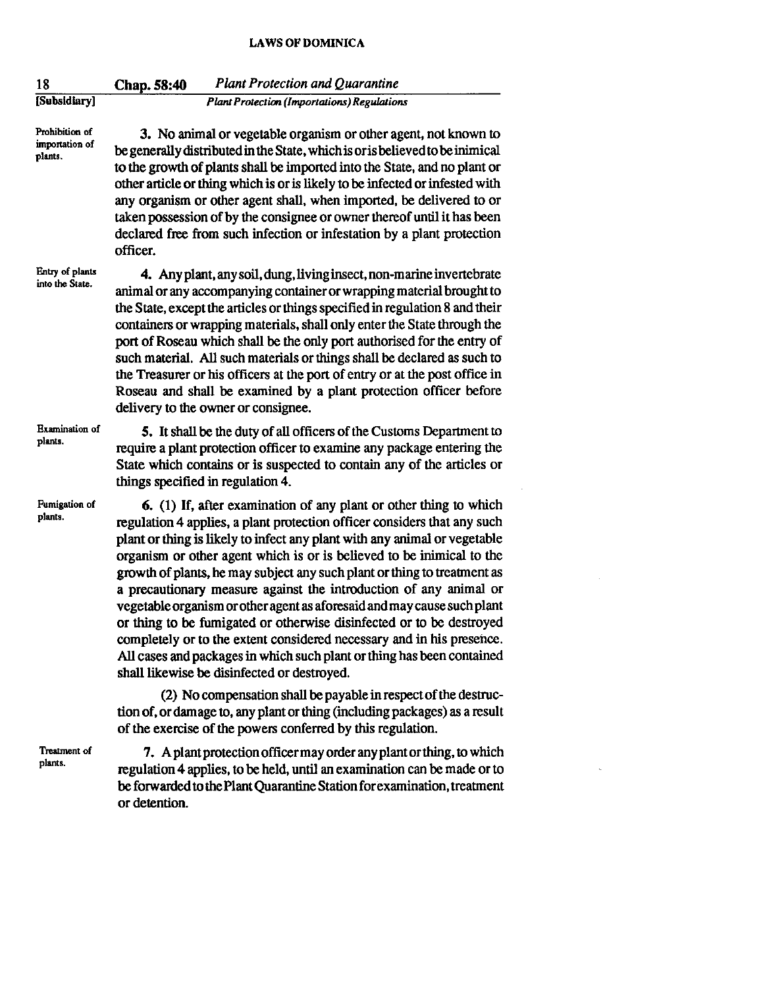| 18                                          | <b>Plant Protection and Quarantine</b><br>Chap. 58:40                                                                                                                                                                                                                                                                                                                                                                                                                                                                                                                                                                                                                                                                                                                                                     |
|---------------------------------------------|-----------------------------------------------------------------------------------------------------------------------------------------------------------------------------------------------------------------------------------------------------------------------------------------------------------------------------------------------------------------------------------------------------------------------------------------------------------------------------------------------------------------------------------------------------------------------------------------------------------------------------------------------------------------------------------------------------------------------------------------------------------------------------------------------------------|
| [Subsidiary]                                | <b>Plant Protection (Importations) Regulations</b>                                                                                                                                                                                                                                                                                                                                                                                                                                                                                                                                                                                                                                                                                                                                                        |
| Prohibition of<br>importation of<br>plants. | 3. No animal or vegetable organism or other agent, not known to<br>be generally distributed in the State, which is or is believed to be inimical<br>to the growth of plants shall be imported into the State, and no plant or<br>other article or thing which is or is likely to be infected or infested with<br>any organism or other agent shall, when imported, be delivered to or<br>taken possession of by the consignee or owner thereof until it has been<br>declared free from such infection or infestation by a plant protection<br>officer.                                                                                                                                                                                                                                                    |
| Entry of plants<br>into the State.          | 4. Any plant, any soil, dung, living insect, non-marine invertebrate<br>animal or any accompanying container or wrapping material brought to<br>the State, except the articles or things specified in regulation 8 and their<br>containers or wrapping materials, shall only enter the State through the<br>port of Roseau which shall be the only port authorised for the entry of<br>such material. All such materials or things shall be declared as such to<br>the Treasurer or his officers at the port of entry or at the post office in<br>Roseau and shall be examined by a plant protection officer before<br>delivery to the owner or consignee.                                                                                                                                                |
| Examination of<br>plants.                   | 5. It shall be the duty of all officers of the Customs Department to<br>require a plant protection officer to examine any package entering the<br>State which contains or is suspected to contain any of the articles or<br>things specified in regulation 4.                                                                                                                                                                                                                                                                                                                                                                                                                                                                                                                                             |
| Fumigation of<br>plants.                    | 6. (1) If, after examination of any plant or other thing to which<br>regulation 4 applies, a plant protection officer considers that any such<br>plant or thing is likely to infect any plant with any animal or vegetable<br>organism or other agent which is or is believed to be inimical to the<br>growth of plants, he may subject any such plant or thing to treatment as<br>a precautionary measure against the introduction of any animal or<br>vegetable organism or other agent as aforesaid and may cause such plant<br>or thing to be fumigated or otherwise disinfected or to be destroyed<br>completely or to the extent considered necessary and in his presence.<br>All cases and packages in which such plant or thing has been contained<br>shall likewise be disinfected or destroyed. |
|                                             | (2) No compensation shall be payable in respect of the destruc-<br>tion of, or damage to, any plant or thing (including packages) as a result<br>of the exercise of the powers conferred by this regulation.                                                                                                                                                                                                                                                                                                                                                                                                                                                                                                                                                                                              |
| Treatment of                                | 7. A plant protection officer may order any plant or thing, to which                                                                                                                                                                                                                                                                                                                                                                                                                                                                                                                                                                                                                                                                                                                                      |

**plants.** 

7. A plant protection officer may order any plant or thing, to which regulation 4 applies, to be held, until an examination can be made or to be forwarded to the Plant Quarantine Station for examination, treatment or detention.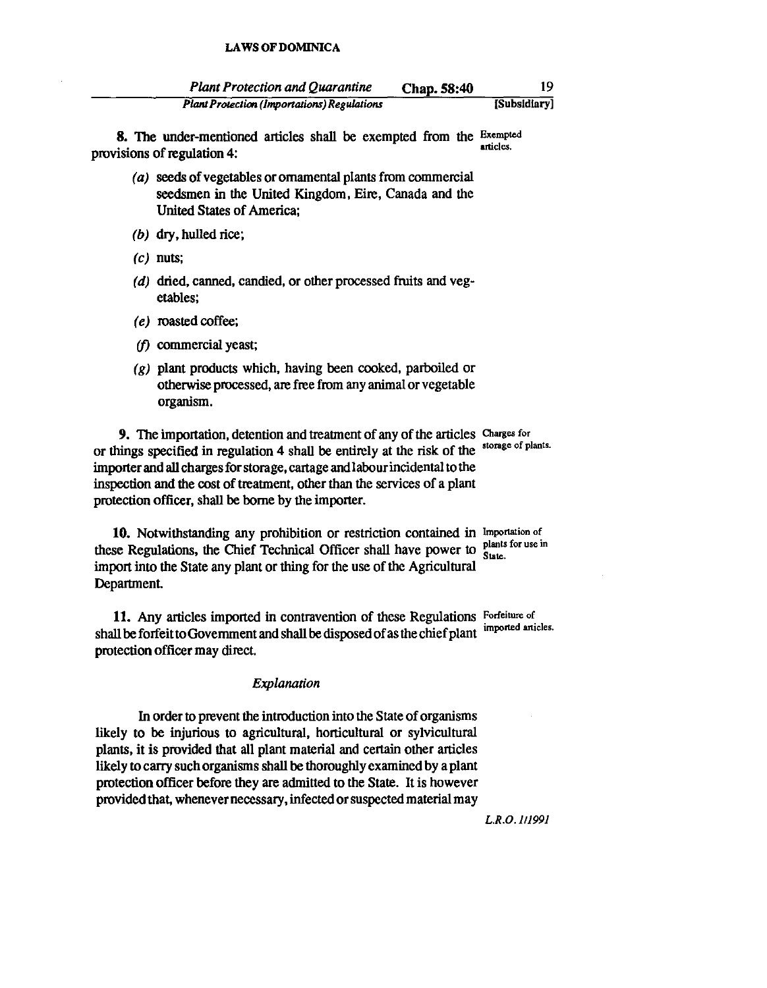| <b>Plant Protection and Quarantine</b>             | Chap. 58:40 |              |
|----------------------------------------------------|-------------|--------------|
| <b>Plant Protection (Importations) Regulations</b> |             | [Subsidiary] |

8. The under-mentioned articles shall be exempted from the Exempted provisions of regulation 4:

- (a) seeds of vegetables or ornamental plants from commercial seedsmen in the United Kingdom, Eire, Canada and the United States of America;
- (b) dry, hulled rice;
- $(c)$  nuts:
- (d) dried, canned, candied, or other processed fruits and vegetables;
- (e) roasted coffee;
- $(f)$  commercial yeast;
- (g) plant products which, having been cooked, parboiled or otherwise processed, are free from any animal or vegetable organism.

9. The importation, detention and treatment of any of the articles Charges for or things specified in regulation 4 shall be entirely at the risk of the storage of plants. importer and all charges for storage, cartage and labour incidental to the inspection and the cost of treatment, other than the services of a plant protection officer, shall be borne by the importer.

10. Notwithstanding any prohibition or restriction contained in Importation of these Regulations, the Chief Technical Officer shall have power to plants for use in import into the State any plant or thing for the use of the Agricultural Department.

11. Any articles imported in contravention of these Regulations Forfeiture of shall be forfeit to Government and shall be disposed of as the chief plant imponed anicles. protection officer may direct.

#### *Explanation*

In order to prevent the introduction into the State of organisms likely to be injurious to agricultural, horticultural or sylvicultural plants, it is provided that all plant material and certain other articles likely to carry such organisms shall be thoroughly examined by a plant protection officer before they are admitted to the State. It is however provided that, whenever necessary, infected or suspected material may

*L.R.O.1I1991*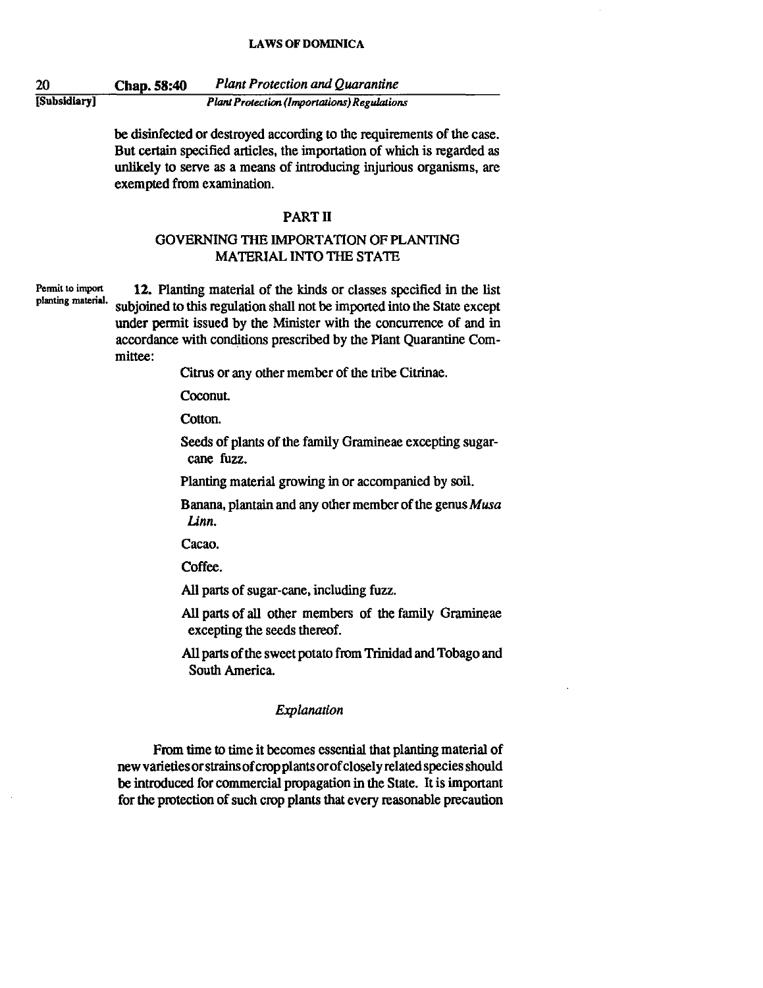20 [Subsidiary I Chap. 58:40 *Plant Protection and Quarantine* 

*Plant Protection (Importations) Regulations* 

be disinfected or destroyed according to the requirements of the case. But certain specified articles, the importation of which is regarded as unlikely to serve as a means of introducing injurious organisms, are exempted from examination.

#### PART <sup>11</sup>

## GOVERNING THE IMPORTATION OF PLANTING MATERIAL INTO THE STATE

**Permit to import pJanting material.** 

12. Planting material of the kinds or classes specified in the list subjoined to this regulation shall not be imported into the State except under permit issued by the Minister with the concurrence of and in accordance with conditions prescribed by the Plant Quarantine Committee:

Citrus or any other member of the tribe Citrinae.

**Coconut.** 

Cotton.

Seeds of plants of the family Gramineae excepting sugarcane fuzz.

Planting material growing in or accompanied by soil.

Banana, plantain and any other member of the genus  $Musa$ *Linn.* 

Cacao.

Coffee.

All parts of sugar-cane, including fuzz.

All parts of all other members of the family Gramineae excepting the seeds thereof.

All parts of the sweet potato from Trinidad and Tobago and South America.

#### *Explanation*

From time to time it becomes essential that planting material of new varieties orstrains of crop plants orof closely related species should be introduced for commercial propagation in the State. It is important for the protection of such crop plants that every reasonable precaution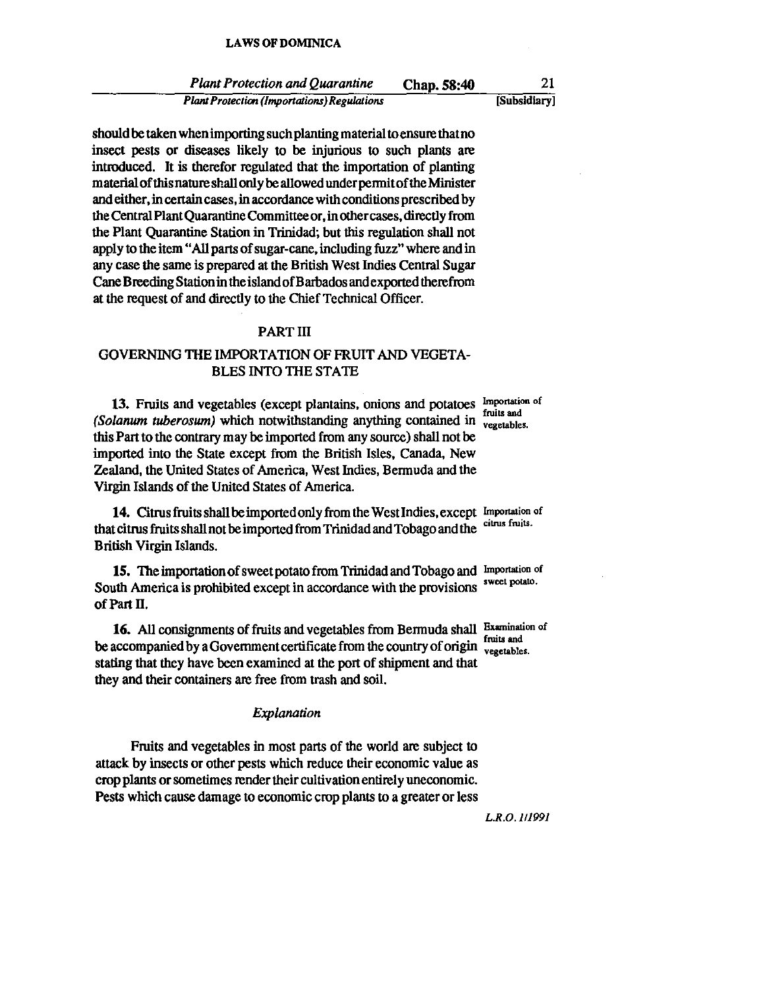Plant Protection and Quarantine Chap. 58:40 *Planl Protection (Importations) Regldations*  [Subsidiary]

should be taken when importing such planting material toensure that no insect pests or diseases likely to be injurious to such plants are introduced. It is therefor regulated that the importation of planting material of this nature shall only be allowed under permit of the Minister and either, in certain cases, in accordance with conditions prescribed by the Central Plant Quarantine Committeeor,inothercases, directly from the Plant Quarantine Station in Trinidad; but this regulation shall not apply to the item "All parts of sugar-cane, including fuzz" where and in any case the same is prepared at the British West Indies Central Sugar Cane Breeding Station in the island of Barbados and exported therefrom at the request of and directly to the Chief Technical Officer.

### PART III

## GOVERNING THE IMPORTATION OF FRUIT AND VEGETA-BLES INTO THE STATE

13. Fruits and vegetables (except plantains, onions and potatoes Importation of (Solanum tuberosum) which notwithstanding anything contained in  $\frac{1}{10}$  vegetables. this Part to the contrary may be imported from any source) shall not be imported into the State except from the British Isles, Canada, New Zealand, the United States of America, West Indies, Bermuda and the Virgin Islands of the United States of America.

14. Citrus fruits shall be imported only from the West Indies, except Importation of that citrus fruits shall not be imported from Trinidad and Tobago and the citrus fruits. British Virgin Islands.

15. The importation of sweet potato from Trinidad and Tobago and Importation of South America is prohibited except in accordance with the provisions sweet potato. of Part 11.

16. All consignments of fruits and vegetables from Bermuda shall Examination of be accompanied by a Government certificate from the country of origin rules and be accompanied by a Government certificate from the country of origin vegetables. stating that they have been examined at the port of shipment and that they and their containers are free from trash and soil.

#### Explanation

Fruits and vegetables in most parts of the world are subject to attack by insects or other pests which reduce their economic value as crop plants or sometimes render their cultivation entirely uneconomic. Pests which cause damage to economic crop plants to a greater or less

L.R.O. 1/1991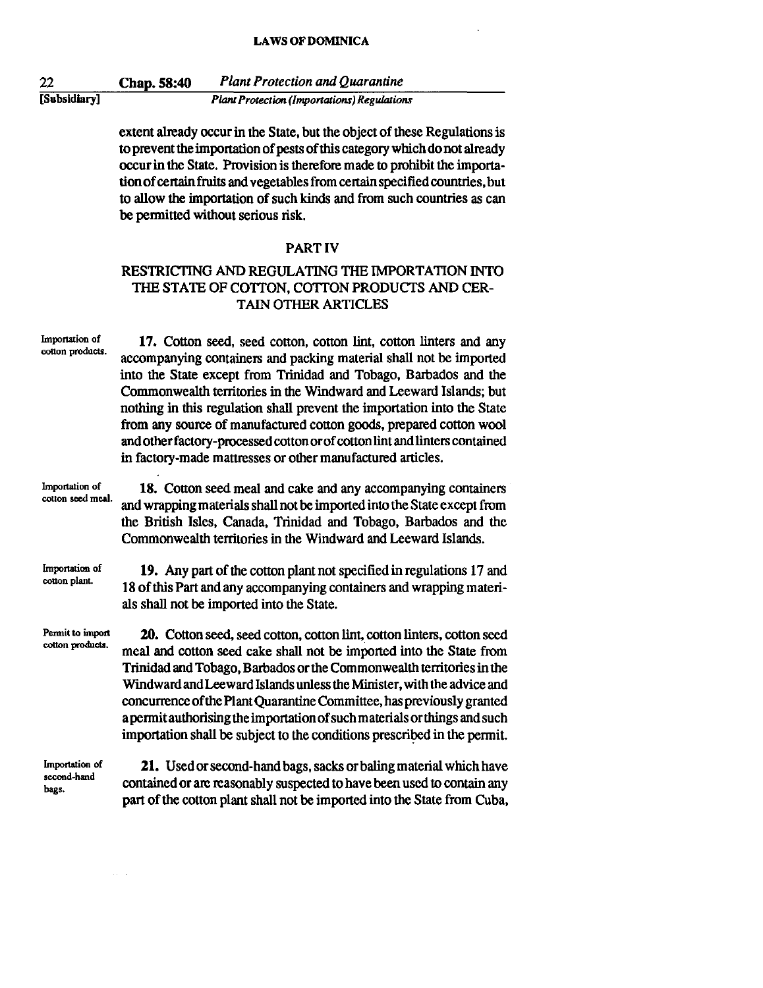22 [Subsidiary] Chap. 58:40 *Plant Protection and Quarantine Plant Protection (Importations) Regulations* 

> extent already occur in the State. but the object of these Regulations is to prevent the importation of pests of this category which do not already occur in the State. Provision is therefore made to prohibit the importa· tion of certain fruits and vegetables from certain specified countries. but to allow the importation of such kinds and from such countries as can be permitted without serious risk.

#### PART IV

## RESTRICTING AND REGULATING THE IMPORTATION INTO THE STATE OF COTTON. COTTON PRODUCTS AND CER-TAIN OTHER ARTICLES

Importation of cotton products. Importalion of cotton seed meal. Importation of cotton pianL Permit to import cotton products. Importation of second-hand bags. 17. Cotton seed, seed cotton, cotton lint, cotton linters and any accompanying containers and packing material shall not be imported into the State except from Trinidad and Tobago. Barbados and the Commonwealth territories in the Windward and Leeward Islands; but nothing in this regulation shall prevent the importation into the State from any source of manufactured cotton goods. prepared cotton wool and other factory-processed cotton or of cotton lint and linters contained in factory-made mattresses or other manufactured articles. 18. Cotton seed meal and cake and any accompanying containers and wrapping materials shall not be imported into the State except from the British Isles. Canada. Trinidad and Tobago. Barbados and the Commonwealth territories in the Windward and Leeward Islands. 19. Any part of the cotton plant not specified in regulations 17 and 18 of this Part and any accompanying containers and wrapping materials shall not be imported into the State. 20. Cotton seed. seed cotton. cotton lint, cotton linters. cotton seed meal and cotton seed cake shall not be imported into the State from Trinidad and Tobago. Barbados or the Commonwealth territories in the Windward and Leeward Islands unless the Minister. with the advice and concurrence of the Plant Quarantine Committee. has previously granted a permit authorising the importation of such materials or things and such importation shall be subject to the conditions prescribed in the permit. 21. Used or second-hand bags. sacks or baling material which have contained or are reasonably suspected to have been used to contain any

part of the cotton plant shall not be imported into the State from Cuba.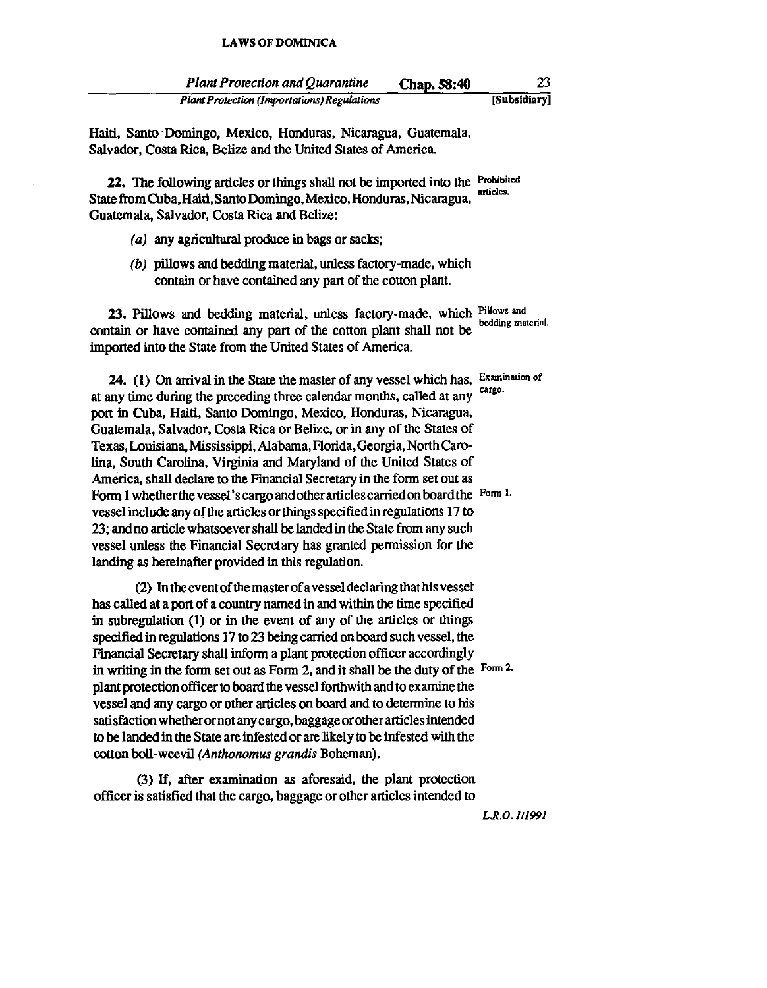| <b>Plant Protection and Quarantine</b>      | Chap. 58:40 | 23           |
|---------------------------------------------|-------------|--------------|
| Plant Protection (Importations) Regulations |             | [Subsidiary] |

Haiti. Santo· Domingo. Mexico. Honduras. Nicaragua. Guatemala. Salvador. Costa Rica. Belize and the United States of America.

22. The following articles or things shall not be imported into the Prohibited articles. State from Cuba. Haiti. Santo Domingo. Mexico. Honduras. Nicaragua. Guatemala. Salvador. Costa Rica and Belize:

- $(a)$  any agricultural produce in bags or sacks;
- (b) pillows and bedding material, unless factory-made, which contain or have contained any part of the cotton plant.

23. Pillows and bedding material, unless factory-made, which Pillows and bedding material. contain or have contained any part of the cotton plant shall not be imported into the State from the United States of America.

24. (1) On arrival in the State the master of any vessel which has, Examination of at any time during the preceding three calendar months, called at any port in Cuba. Haiti. Santo Domingo. Mexico. Honduras. Nicaragua. Guatemala. Salvador. Costa Rica or Belize. or in any of the States of Texas. Louisiana. Mississippi. Alabama. Florida. Georgia. North Carolina. South Carolina. Virginia and Maryland of the United States of America. shall declare to the Financial Secretary in the form set out as Form 1 whether the vessel's cargo and other articles carried on board the Form 1. vessel include any of the articles or things specified in regulations 17 to 23; and no article whatsoever shall be landed in the State from any such vessel unless the Financial Secretary has granted permission for the landing as hereinafter provided in this regulation.

(2) In the event of the master of a vessel declaring thathis vessel has called at a port of a country named in and within the time specified in subregulation (I) or in the event of any of the articles or things specified in regulations 17 to 23 being carried on board such vessel. the Financial Secretary shall inform a plant protection officer accordingly in writing in the form set out as Form 2. and it shall be the duty of the Fonn 2. plant protection officer to board the vessel forthwith and to exantine the vessel and any cargo or other articles on board and to determine to his satisfaction whetherornot any cargo. baggage orother articles intended to be landed in the State are infested or are likely to be infested with the cotton boIl-weevil *(Anthonomus grandis* Boheman).

(3) If. after examination as aforesaid. the plant protection officer is satisfied that the cargo. baggage or other articles intended to

*L.R.O.111991*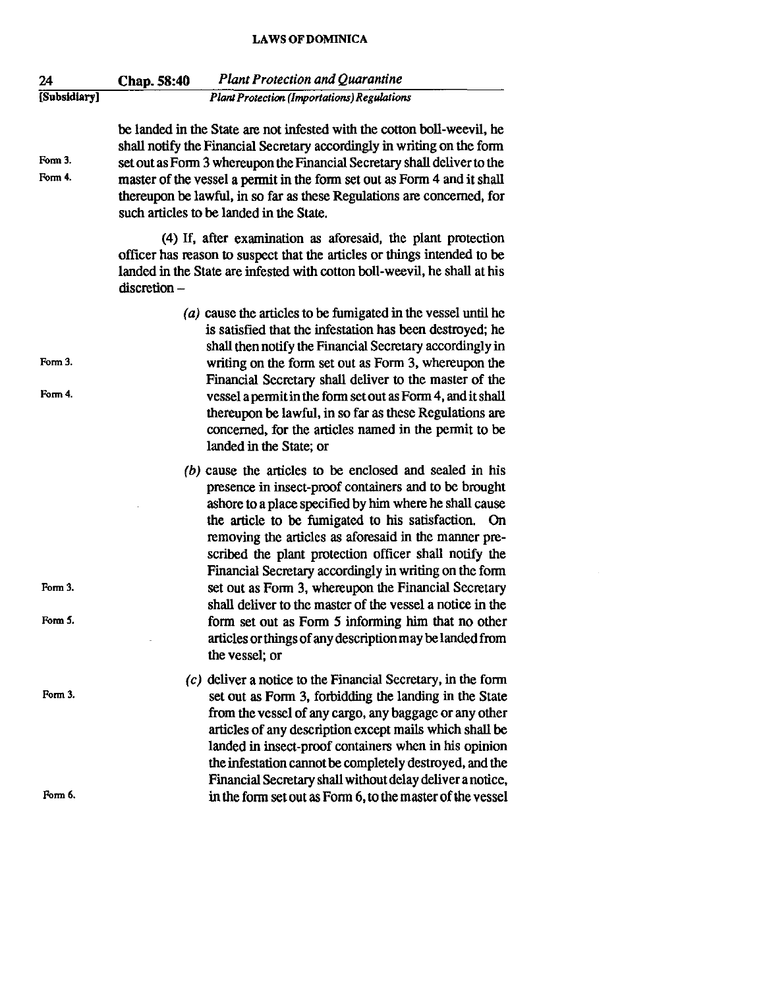| 24                 | <b>Plant Protection and Quarantine</b><br>Chap. 58:40                                                                                                                                                                                                                                                                                                                                                                                                                                                                                                                                                                                                                      |
|--------------------|----------------------------------------------------------------------------------------------------------------------------------------------------------------------------------------------------------------------------------------------------------------------------------------------------------------------------------------------------------------------------------------------------------------------------------------------------------------------------------------------------------------------------------------------------------------------------------------------------------------------------------------------------------------------------|
| [Subsidiary]       | <b>Plant Protection (Importations) Regulations</b>                                                                                                                                                                                                                                                                                                                                                                                                                                                                                                                                                                                                                         |
| Form 3.<br>Form 4. | be landed in the State are not infested with the cotton boll-weevil, he<br>shall notify the Financial Secretary accordingly in writing on the form<br>set out as Form 3 whereupon the Financial Secretary shall deliver to the<br>master of the vessel a permit in the form set out as Form 4 and it shall<br>thereupon be lawful, in so far as these Regulations are concerned, for<br>such articles to be landed in the State.                                                                                                                                                                                                                                           |
|                    | (4) If, after examination as aforesaid, the plant protection<br>officer has reason to suspect that the articles or things intended to be<br>landed in the State are infested with cotton boll-weevil, he shall at his<br>$discretion -$                                                                                                                                                                                                                                                                                                                                                                                                                                    |
| Form 3.<br>Form 4. | (a) cause the articles to be fumigated in the vessel until he<br>is satisfied that the infestation has been destroyed; he<br>shall then notify the Financial Secretary accordingly in<br>writing on the form set out as Form 3, whereupon the<br>Financial Secretary shall deliver to the master of the<br>vessel a permit in the form set out as Form 4, and it shall<br>thereupon be lawful, in so far as these Regulations are<br>concerned, for the articles named in the permit to be<br>landed in the State; or                                                                                                                                                      |
| Form 3.<br>Form 5. | (b) cause the articles to be enclosed and sealed in his<br>presence in insect-proof containers and to be brought<br>ashore to a place specified by him where he shall cause<br>the article to be fumigated to his satisfaction.<br>On<br>removing the articles as aforesaid in the manner pre-<br>scribed the plant protection officer shall notify the<br>Financial Secretary accordingly in writing on the form<br>set out as Form 3, whereupon the Financial Secretary<br>shall deliver to the master of the vessel a notice in the<br>form set out as Form 5 informing him that no other<br>articles or things of any description may be landed from<br>the vessel; or |
| Form 3.            | $(c)$ deliver a notice to the Financial Secretary, in the form<br>set out as Form 3, forbidding the landing in the State<br>from the vessel of any cargo, any baggage or any other<br>articles of any description except mails which shall be<br>landed in insect-proof containers when in his opinion<br>the infestation cannot be completely destroyed, and the<br>Financial Secretary shall without delay deliver a notice,<br>in the form set out as Form 6, to the master of the vessel                                                                                                                                                                               |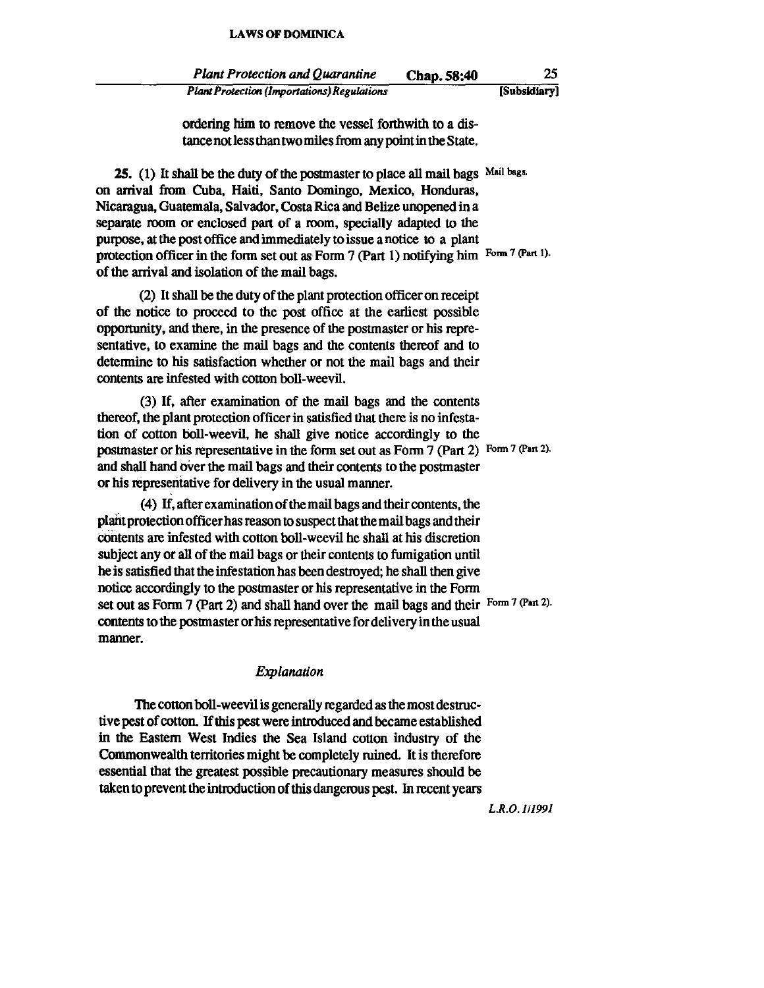| <b>Plant Protection and Quarantine</b>             | Chap. 58:40 | 25           |
|----------------------------------------------------|-------------|--------------|
| <b>Plant Protection (Importations) Regulations</b> |             | [Subsidiary] |

ordering him to remove the vessel forthwith to a distance not less than two miles from any point in the State.

25. (1) It shall be the duty of the postmaster to place all mail bags Mail bags. on arrival from Cuba. Haiti, Santo Domingo, Mexico, Honduras, Nicaragua. Guatemala, Salvador, Costa Rica and Belize unopened in a separate room or enclosed part of a room, specially adapted to the pwpose, at the post office and immediately to issue a notice to a plant protection officer in the form set out as Form 7 (Part 1) notifying him Form 7 (Part 1). of the arrival and isolation of the mail bags.

(2) It shall be the duty of the plant protection officer on receipt of the notice to proceed to the post office at the earliest possible opponunity, and there, in the presence of the postmaster or his representative, to examine the mail bags and the contents thereof and to determine to his satisfaction whether or not the mail bags and their contents are infested with cotton boll-weevil.

(3) If, after examination of the mail bags and the contents thereof, the plant protection officer in satisfied that there is no infestation of cotton boll-weevil, he shall give notice accordingly to the postmaster or his representative in the form set out as Form 7 (Part 2) Form 7 (Part 2). and shall hand over the mail bags and their contents to the postmaster or his represeritative for delivery in the usual manner.

(4) If, after examination of the mail bags and their contents, the plaht protection officer has reason to suspect that the mail bags and their cOntents are infested with cotton boll-weevil he shall at his discretion subject any or all of the mail bags or their contents to fumigation until he is satisfied that the infestation has been destroyed; he shall then give notice accordingly to the postmaster or his representative in the Form set out as Form 7 (Part 2) and shall hand over the mail bags and their Form 7 (Part 2). contents to the postmaster or his representative for delivery in the usual manner.

#### *Explanation*

The cotton boll-weevil is generally regarded as the most destructive pest of cotton. If this pest were introduced and became established in the Eastern West Indies the Sea Island cotton industry of the Commonwealth tenitories might be completely ruined. It is therefore essential that the greatest possible precautionary measures should be taken to prevent the introduction of this dangerous pest. In recent years

*L.R.O.II199I*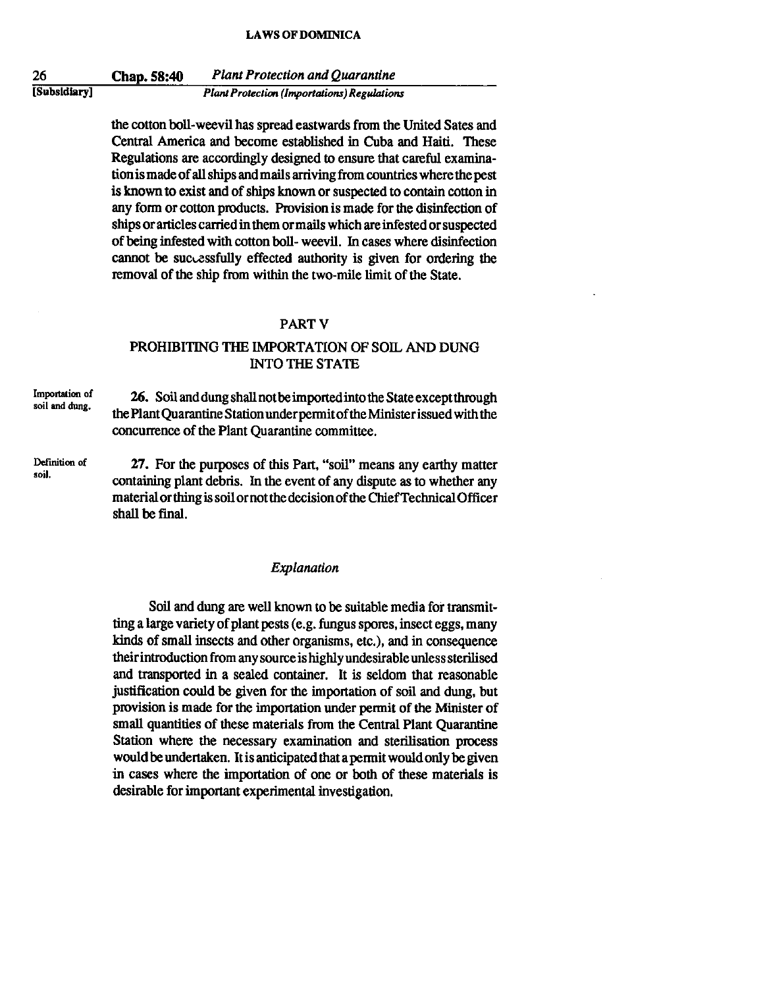26 [Subsidiary] Chap. 58:40 *Plant Protection and Quarantine Plant Protection (Importations) Regulations* 

> the cotton boil-weevil has spread eastwards from the United Sates and Central America and become established in Cuba and Haiti. These Regulations are accordingly designed to ensure that careful examination is made of all ships and mails arriving from countries where the pest is known to exist and of ships known or suspected to contain cotton in any form or cotton products. Provision is made for the disinfection of ships or articles carried in them ormails which are infested or suspected of being infested with cotton boll- weevil. In cases where disinfection cannot be successfully effected authority is given for ordering the removal of the ship from within the two-mile limit of the State.

#### PART<sub>V</sub>

## PROHIBITING THE IMPORTATION OF SOIL AND DUNG INTO THE STATE

**Importation of soil and dung.**  26. Soil and dung shall not be imported into the State except through the Plant Quarantine Station under permit of the Minister issued with the concurrence of the Plant Quarantine committee.

**Definition of**  27. For the purposes of this Part, "soil" means any earthy matter containing plant debris. In the event of any dispute as to whether any material or thing is soil ornot the decision of the Chief Technical Officer shall be final.

**soil.** 

#### *Explanation*

Soil and dung are well known to be suitable media for transmitting a large variety of plant pests (e.g. fungus spores, insect eggs, many kinds of small insects and other organisms, etc.), and in consequence their introduction from any source is higblyundesirable unless sterilised and transported in a sealed container. It is seldom that reasonable justification could be given for the importation of soil and dung, but provision is made for the importation under pennit of the Minister of small quantities of these materials from the Central Plant Quarantine Station where the necessary examination and sterilisation process would be undertaken. It is anticipated that a permit would only be given in cases where the importation of one or both of these materials is desirable for important experimental investigation.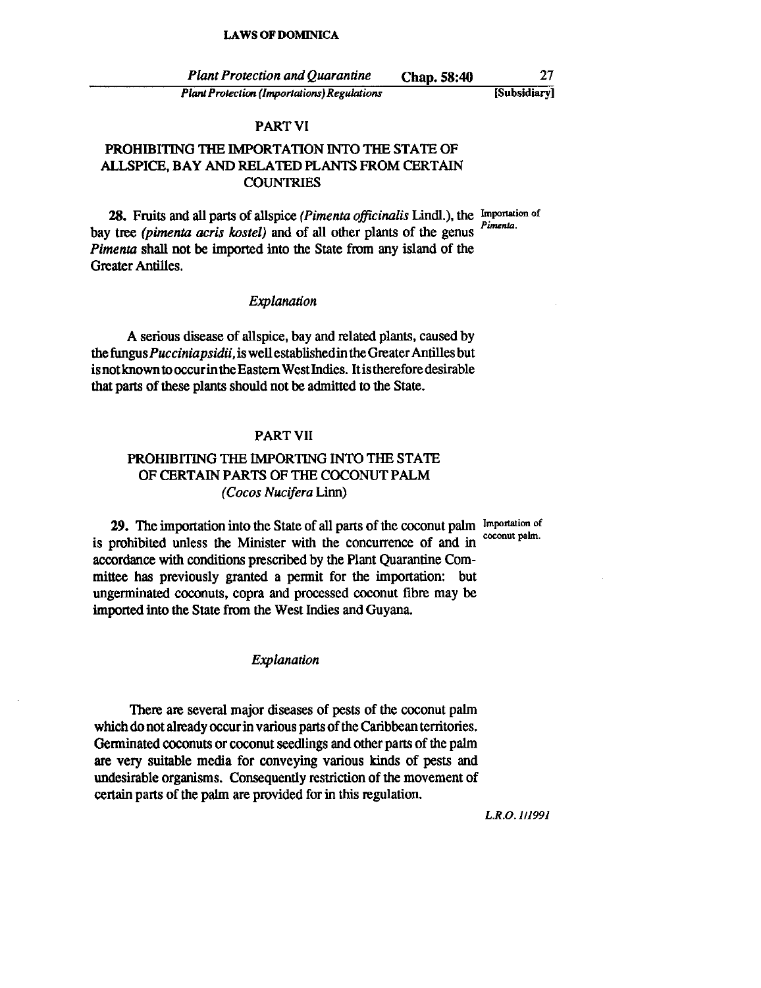*Plant Protection and Quarantine* Chap. 58:40 *Plant Protection (Importations) Regulations*  27 [Subsidiary I

#### PART VI

## PROHIBITING THE IMPORTATION INTO THE STATE OF ALLSPICE, BAY AND RELATED PLANTS FROM CERTAIN **COUNTRIES**

28. Fruits and all parts of allspice *(Pimenta officinalis Lindl.)*, the Importation of bay tree *(pimenta acris kostel)* and of all other plants of the genus *Pimenta* shall not be imported into the State from any island of the Greater Antilles.

### *Explanation*

A serious disease of allspice, bay and related plants, caused by the *fungusPucciniapsidii,* is well established in the Greater Antilles but is not known to occur in the Eastern West Indies. Itis therefore desirable that parts of these plants should not be admitted to the State.

## PART VII

## PROHIBITING THE IMPORTING INTO THE STATE OF CERTAIN PARTS OF THE COCONUT PALM *(Cocos Nucifera* Linn)

29. The importation into the State of all parts of the coconut palm Importation of is prohibited unless the Minister with the concurrence of and in accordance with conditions prescribed by the Plant Quarantine Committee has previously granted a pennit for the importation: but ungerminated coconuts, copra and processed coconut fibre may be imported into the State from the West Indies and Guyana.

#### *Explanation*

There are several major diseases of pests of the coconut palm which do not already occur in various parts of the Caribbean territories. Genninated coconuts or coconut seedlings and other parts of the palm are very suitable media for conveying various kinds of pests and undesirable organisms. Consequently restriction of the movement of certain parts of the palm are provided for in this regulation.

L.R.o.1Jl991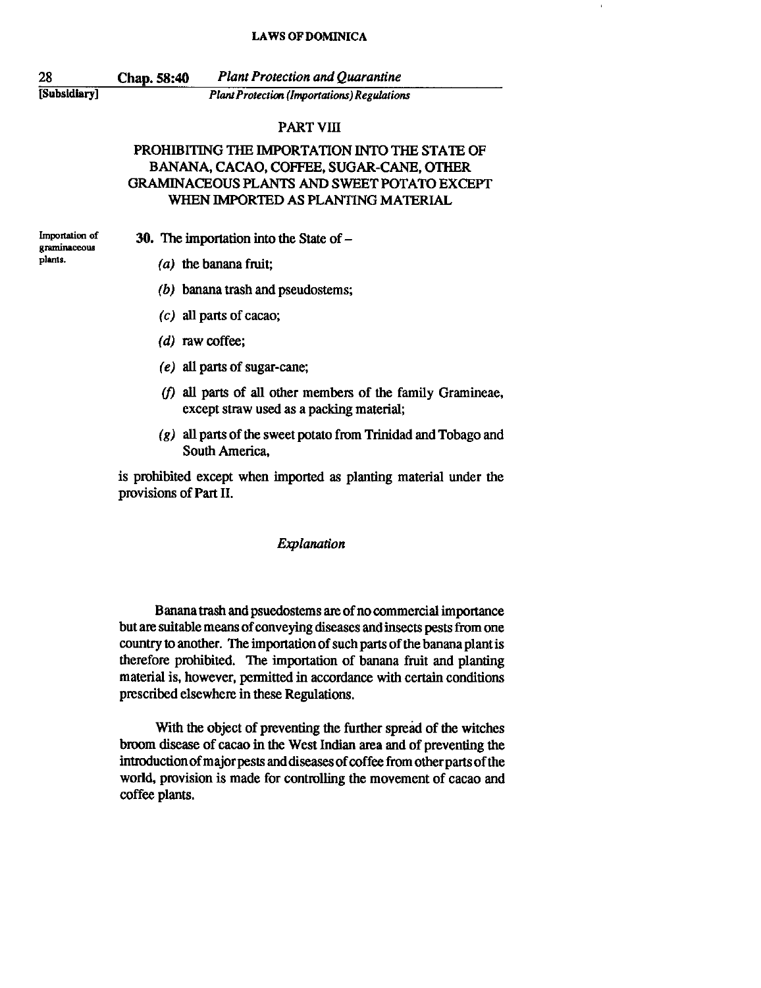28 [Subsidiary] Chap. 58:40 *Plant Protection and Quarantine Plant Protection (Importations) Regulations* 

#### PART VIII

## PROHIBITING THE IMPORTATION INTO THE STATE OF BANANA, CACAO, COFFEE, SUGAR-CANE, OTHER GRAMINACEOUS PLANTS AND SWEET POTATO EXCEPT WHEN IMPORTED AS PLANTING MATERIAL

**Importation of graminaceous plants.** 

30. The importation into the State of  $-$ 

- (a) the banana fruit;
- (b) banana trash and pseudostems;
- $(c)$  all parts of cacao;
- (d) raw coffee;
- (e) all parts of sugar-cane;
- $(f)$  all parts of all other members of the family Gramineae, except straw used as a packing material;
- (g) all parts of the sweet potato from Trinidad and Tobago and South America,

is prohihited except when imported as planting material under the provisions of Part 11.

#### *Explanation*

Banana trash and psuedostems are of no commercial importance but are suitable means of conveying diseases and insects pests from one country to another. The importation of such parts of the banana plant is therefore prohibited. The importation of banana fruit and planting material is, however, permitted in accordance with certain conditions prescribed elsewhere in these Regulations.

With the object of preventing the further spread of the witches broom disease of cacao in the West Indian area and of preventing the introduction of majorpests and diseases of coffee from other parts of the world, provision is made for controlling the movement of cacao and coffee plants.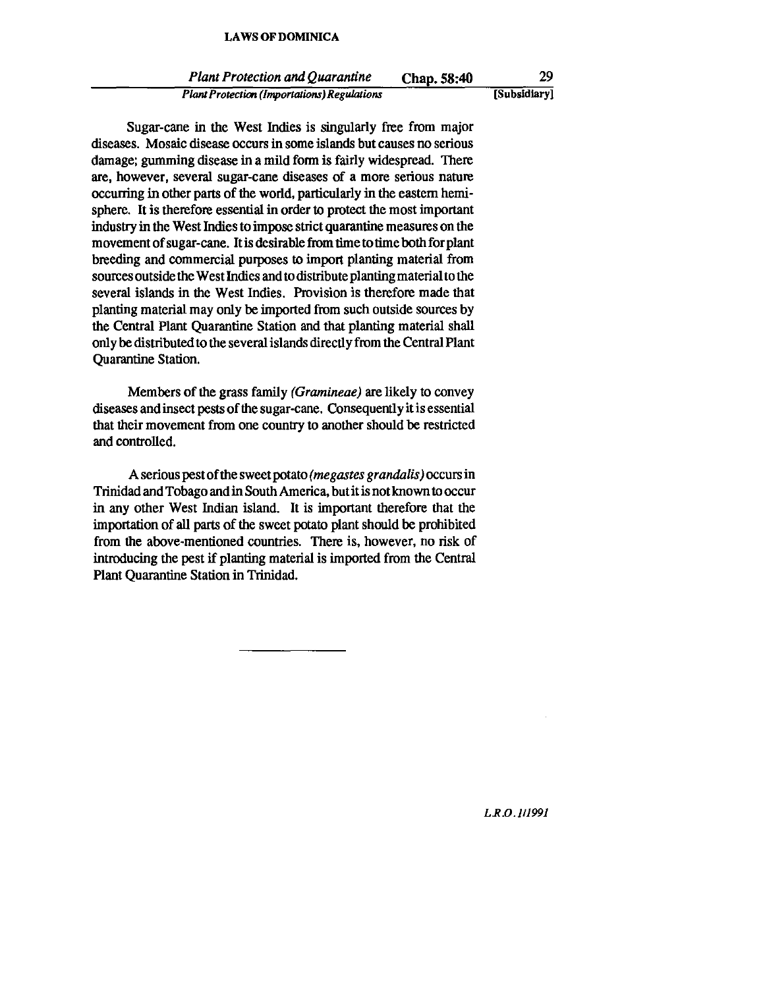*Plant Protection and Quarantine* Chap. 58:40 *Plant Protection (Importations) Regulations* 29 [Subsidiary)

Sugar-cane in the West Indies is singularly free from major diseases. Mosaic disease occurs in some islands but causes no serious damage; gumming disease in a mild form is fairly widespread. There are, however, several sugar-cane diseases of a more serious nature occurring in other parts of the world, particularly in the eastern hemisphere. It is therefore essential in order to protect the most important industry in the West Indies to impose strict quarantine measures on the movement of sugar-cane. Itis desirable from time to time both for plant breeding and commercial purposes to import planting material from sources outside the West Indies and to distribute planting material to the several islands in the West Indies. Provision is therefore made that planting material may only be imported from such outside sources by the Central Plant Quarantine Station and that planting material shall only be distributed to the several islands directly from the Central Plant Quarantine Station.

Members of the grass family *(Gramineae)* are likely to convey diseases and insect pests of the sugar-cane. Consequently it is essential that their movement from one country to another should be restricted and controlled.

A serious pest of the sweet potato (megastes grandalis) occurs in Trinidad and Tobago and in South America, but it is not known to occur in any other West Indian island. It is important therefore that the importation of all parts of the sweet potato plant should be prohibited from the above-mentioned countries. There is, however, no risk of introducing the pest if planting material is imported from the Central Plant Quarantine Station in Trinidad.

*LR.o./l/99J*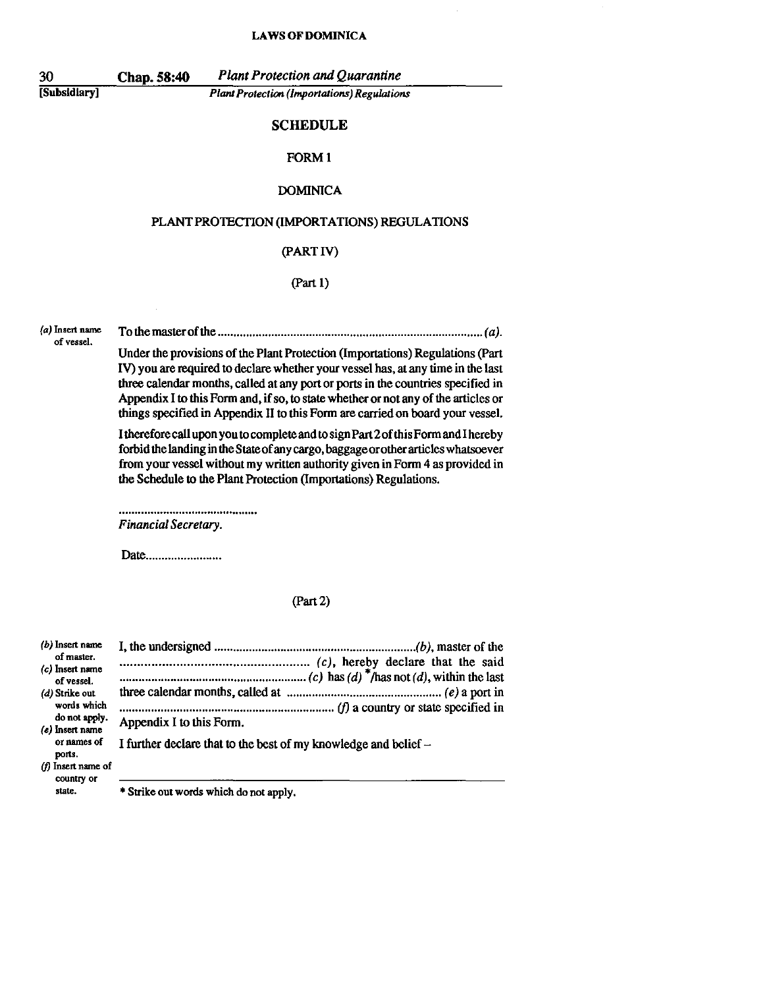30 Chap. 58:40 *Plant Protection and Quarantine*   $P$ *lant Protection (Importations) Regulations* 

#### **SCHEDULE**

#### FORM I

#### DOMINICA

#### PLANT PROTECTION (IMPORTATIONS) REGULATIONS

## (PARTlV)

(part 1)

of vessel.

**(a) Insert name** To the master of the ................................................**.................................... (a).** 

Under the provisions of the Plant Protection (Importations) Regulations (Part IV) you are required to declare whether your vessel has, at any time in the last three calendar months, called at any port or ports in the countries specified in Appendix I to this Form and, if so, to state whether or not any of the articles or things specified in Appendix II to this Form are carried on board your vessel.

I therefore call upon you to complete and to sign Part 20f this FormandI hereby forbid the landing in the Stateof any cargo, baggageorotherarticles whatsoever from your vessel without my written authority given in Form 4 as provided in the Schedule to the Plant Protection (Importations) Regulations.

*Financial Secretary.* 

Date.........................

#### (part 2)

| $(b)$ Insert name                  |                                                                 |
|------------------------------------|-----------------------------------------------------------------|
| of master.                         |                                                                 |
| (c) Insert name<br>of vessel.      |                                                                 |
| (d) Strike out                     |                                                                 |
| words which                        |                                                                 |
| do not apply.<br>$(e)$ insert name | Appendix I to this Form.                                        |
| or names of<br>ports.              | I further declare that to the best of my knowledge and belief – |
| (f) Insert name of<br>country or   |                                                                 |
| atota                              | $\pm$ Cariba and morels which is a set of $\pm$                 |

**state. • Strike out words which do not apply.**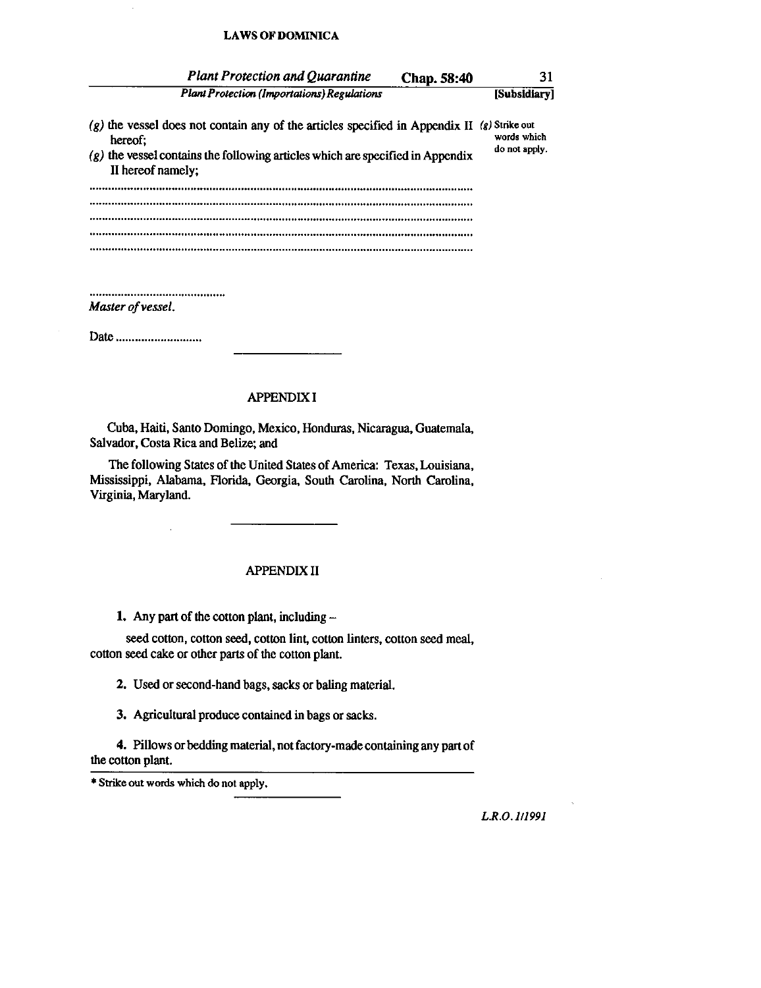| <b>Plant Protection and Quarantine</b>                                                                                                                                                             | <b>Chap.</b> 58:40 | 31                                               |
|----------------------------------------------------------------------------------------------------------------------------------------------------------------------------------------------------|--------------------|--------------------------------------------------|
| <b>Plant Protection (Importations) Regulations</b>                                                                                                                                                 |                    | [Subsidiarv]                                     |
| $(g)$ the vessel does not contain any of the articles specified in Appendix II<br>hereof:<br>$(g)$ the vessel contains the following articles which are specified in Appendix<br>II hereof namely; |                    | $(g)$ Strike out<br>words which<br>do not apply. |
|                                                                                                                                                                                                    |                    |                                                  |
|                                                                                                                                                                                                    |                    |                                                  |
|                                                                                                                                                                                                    |                    |                                                  |

*Master of vessel.* 

Date ..............................

#### APPENDIX!

Cuba, Haiti, Santo Domingo, Mexico, Honduras, Nicaragua, Guatemala, Salvador, Costa Rica and Belize; and

The following States of the United States of America: Texas, Louisiana, Mississippi, Alabama, Florida, Georgia, South Carolina, North Carolina, Virginia, Maryland.

#### **APPENDIXII**

1. Any part of the cotton plant, including  $-$ 

seed cotton, cotton seed, cotton lint, cotton linters, cotton seed meal, cotton seed cake or other parts of the cotton plant.

2. Used or second-hand bags, sacks or baling material.

3. Agricultural produce contained in bags or sacks.

4. Pillows or bedding material, not factory-made containing any part of the cotton plant.

• Strike out words which do not apply.

*L.R.O.1iI991*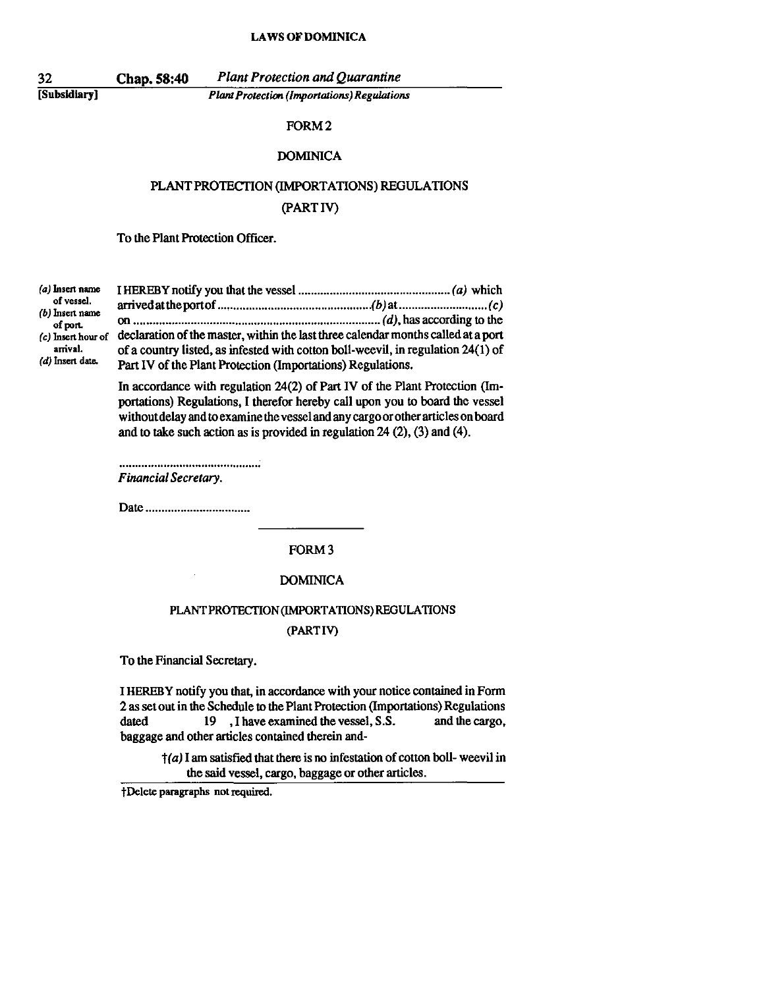[Subsidiary)

Chap. 58:40 *Plant Protection and Quarantine Plant Protection (Importations) Regulations* 

#### FORM 2

### **DOMINICA**

# PLANT PROTECTION (IMPORTATIONS) REGULATIONS

## (PARTlY)

To the Plant Protection Officer.

**(a) Insert name of vessel. (b) Insert name of port. (c) Insert hour of arrival.**  (d) Insen date. I HEREBY notify you that the vessel ................................................ (a) which arrivedattheportof *.................................................* (b) at ............................ (c) on .............................................................................. (d), has according to the declaration of the master, within the last three calendar months called ata port of a country listed, as infested with cotton boil-weevil, in regulation 24(1) of Part IV of the Plant Protection (Importations) Regulations.

> In accordance with regulation 24(2) of Part IV of the Plant Protection (Importations) Regulations, I therefor hereby call upon you to board the vessel without delay and to examine the vessel and any cargo or other articles on board and to take such action as is provided in regulation 24 (2), (3) and (4).

*Financial Secretary.* 

Date ................................ .

FORM 3

#### **DOMINICA**

## PLANT PROTECTION (IMPORTATIONS) REGULATIONS (PARTly)

To the Financial Secretary.

I HEREBY notify you that, in accordance with your notice contained in Form 2 as set out in the Schedule to the Plant Protection (Importations) Regulations dated 19, I have examined the vessel, S.S. and the cargo, baggage and other articles contained therein and-

> $\dagger$ (a) I am satisfied that there is no infestation of cotton boll-weevil in the said vessel, cargo, baggage or other articles.

tDelete paragraphs not required.

32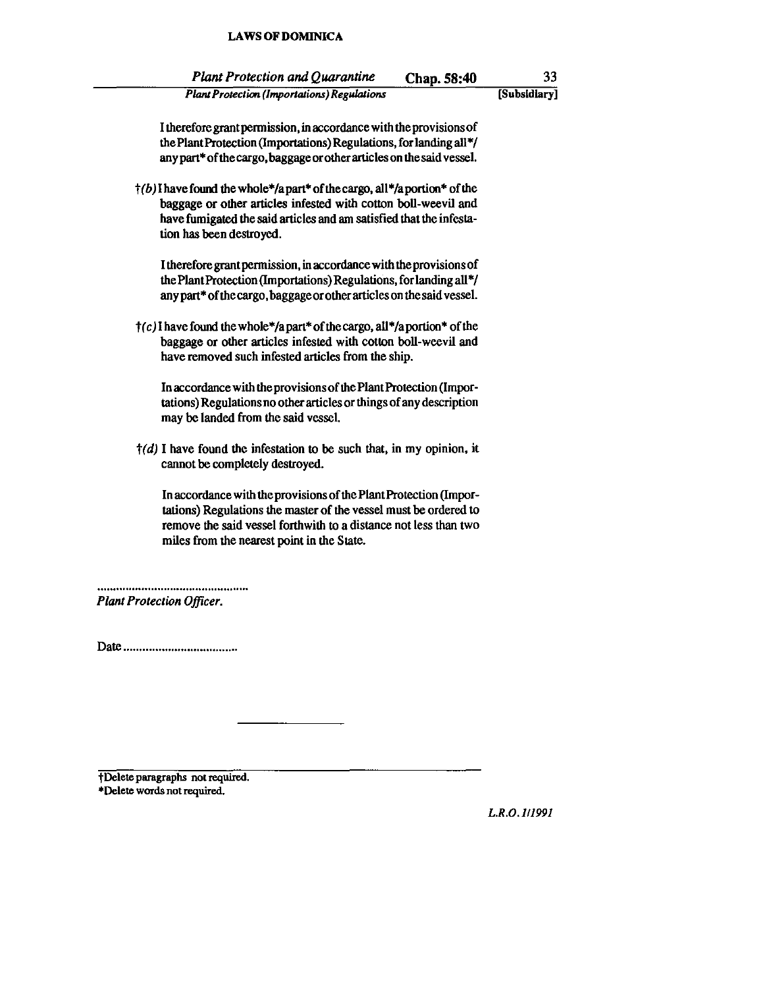| <b>Plant Protection and Quarantine</b>             | Chap. 58:40 | 33           |
|----------------------------------------------------|-------------|--------------|
| <b>Plant Protection (Importations) Regulations</b> |             | [Subsidiary] |

I therefore grant permission, in accordance with the provisions of the Plant Protection (Importations) Regulations, for landing all\*/ any part\* of the cargo, baggage orother articles on the said vessel.

 $\uparrow$ (b) I have found the whole\*/a part\* of the cargo, all\*/a portion\* of the baggage or other articles infested with cotton boil-weevil and have fumigated the said articles and am satisfied that the infestation has been destroyed.

I therefore grant pennission, in accordance with the provisions of the Plant Protection (Importations) Regulations, for landing all\*/ anypart\* of the cargo, baggage or other articles on the said vessel.

 $\uparrow$  (c) I have found the whole\*/a part\* of the cargo, all\*/a portion\* of the baggage or other articles infested with cotton boil-weevil and have removed such infested articles from the ship.

In accordance with the provisions of the Plant Protection (Importations) Regulations no other articles or things of any description may be landed from the said vessel.

 $\dagger$ (*d*) I have found the infestation to be such that, in my opinion, it cannot be completely destroyed.

In accordance with the provisions of the Plant Protection (Importations) Regulations the master of the vessel must be ordered to remove the said vessel forthwith to a distance not less than two miles from the nearest point in the State.

*Plant Protection Officer.* 

Date ................................... .

tDelete paragraphs not required. **• Delete words not required.** 

*L.R.O.lII99J*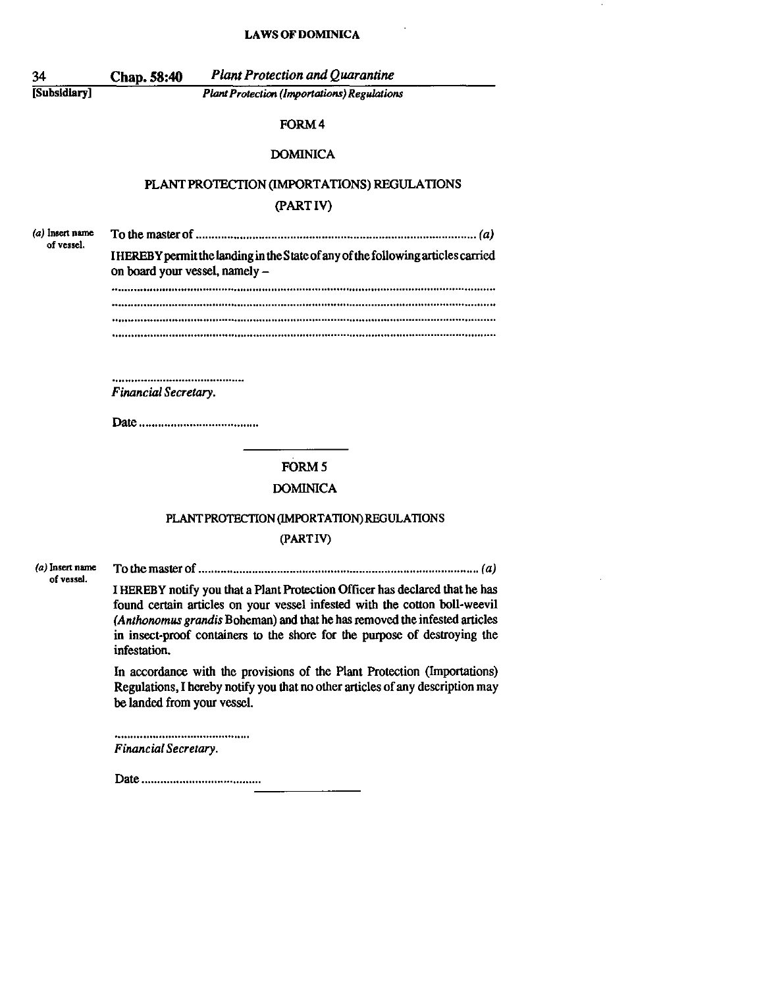$\sim 10^{11}$ 

 $\sim$ 

| 34                            | <b>Plant Protection and Quarantine</b><br>Chap. 58:40                                                                                                   |
|-------------------------------|---------------------------------------------------------------------------------------------------------------------------------------------------------|
| [Subsidiary]                  | <b>Plant Protection (Importations) Regulations</b>                                                                                                      |
|                               | FORM4                                                                                                                                                   |
|                               | <b>DOMINICA</b>                                                                                                                                         |
|                               | PLANT PROTECTION (IMPORTATIONS) REGULATIONS                                                                                                             |
|                               | (PARTIV)                                                                                                                                                |
| (a) Insert name<br>of vessel. |                                                                                                                                                         |
|                               | IHEREBY permit the landing in the State of any of the following articles carried<br>on board your vessel, namely -                                      |
|                               |                                                                                                                                                         |
|                               |                                                                                                                                                         |
|                               |                                                                                                                                                         |
|                               |                                                                                                                                                         |
|                               | Financial Secretary.                                                                                                                                    |
|                               |                                                                                                                                                         |
|                               | FORM <sub>5</sub>                                                                                                                                       |
|                               | <b>DOMINICA</b>                                                                                                                                         |
|                               |                                                                                                                                                         |
|                               | PLANT PROTECTION (IMPORTATION) REGULATIONS<br>(PARTIV)                                                                                                  |
|                               |                                                                                                                                                         |
| (a) Insert name<br>of vessel. | I HEREBY notify you that a Plant Protection Officer has declared that he has                                                                            |
|                               | found certain articles on your vessel infested with the cotton boll-weevil                                                                              |
|                               | (Anthonomus grandis Boheman) and that he has removed the infested articles<br>in insect-proof containers to the shore for the purpose of destroying the |
|                               | infestation.                                                                                                                                            |
|                               | In accordance with the provisions of the Plant Protection (Importations)                                                                                |
|                               | Regulations, I hereby notify you that no other articles of any description may<br>be landed from your vessel.                                           |
|                               | Financial Secretary.                                                                                                                                    |
|                               |                                                                                                                                                         |
|                               |                                                                                                                                                         |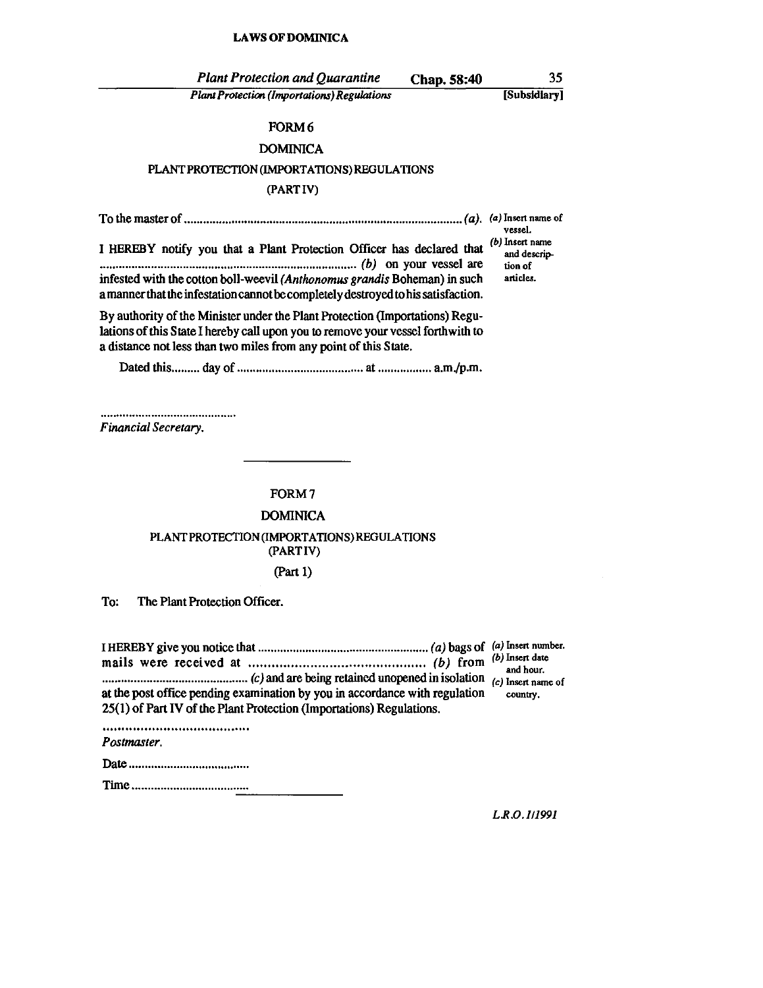| <b>Plant Protection and Quarantine</b>                                                                                                                                                                                              | Chap. 58:40 | 35                                                                 |
|-------------------------------------------------------------------------------------------------------------------------------------------------------------------------------------------------------------------------------------|-------------|--------------------------------------------------------------------|
| <b>Plant Protection (Importations) Regulations</b>                                                                                                                                                                                  |             | [Subsidiary]                                                       |
| FORM 6                                                                                                                                                                                                                              |             |                                                                    |
| <b>DOMINICA</b>                                                                                                                                                                                                                     |             |                                                                    |
| PLANT PROTECTION (IMPORTATIONS) REGULATIONS                                                                                                                                                                                         |             |                                                                    |
| (PARTIV)                                                                                                                                                                                                                            |             |                                                                    |
|                                                                                                                                                                                                                                     |             |                                                                    |
| I HEREBY notify you that a Plant Protection Officer has declared that<br>infested with the cotton boll-weevil (Anthonomus grandis Boheman) in such                                                                                  |             | vessel.<br>(b) Insert name<br>and descrip-<br>tion of<br>articles. |
| a manner that the infestation cannot be completely destroyed to his satisfaction.                                                                                                                                                   |             |                                                                    |
| By authority of the Minister under the Plant Protection (Importations) Regu-<br>lations of this State I hereby call upon you to remove your vessel forthwith to<br>a distance not less than two miles from any point of this State. |             |                                                                    |
|                                                                                                                                                                                                                                     |             |                                                                    |
| FORM 7<br><b>DOMINICA</b>                                                                                                                                                                                                           |             |                                                                    |
| PLANT PROTECTION (IMPORTATIONS) REGULATIONS                                                                                                                                                                                         |             |                                                                    |
| (PARTIV)                                                                                                                                                                                                                            |             |                                                                    |
| (Part 1)                                                                                                                                                                                                                            |             |                                                                    |
| The Plant Protection Officer.<br>To:                                                                                                                                                                                                |             |                                                                    |
|                                                                                                                                                                                                                                     |             | (b) Insert date<br>and hour.<br>(c) Insert name of                 |
| at the post office pending examination by you in accordance with regulation<br>25(1) of Part IV of the Plant Protection (Importations) Regulations.                                                                                 |             | country.                                                           |
| Postmaster.                                                                                                                                                                                                                         |             |                                                                    |
|                                                                                                                                                                                                                                     |             |                                                                    |
|                                                                                                                                                                                                                                     |             |                                                                    |
|                                                                                                                                                                                                                                     |             |                                                                    |

*L.R.O.1Jl99J*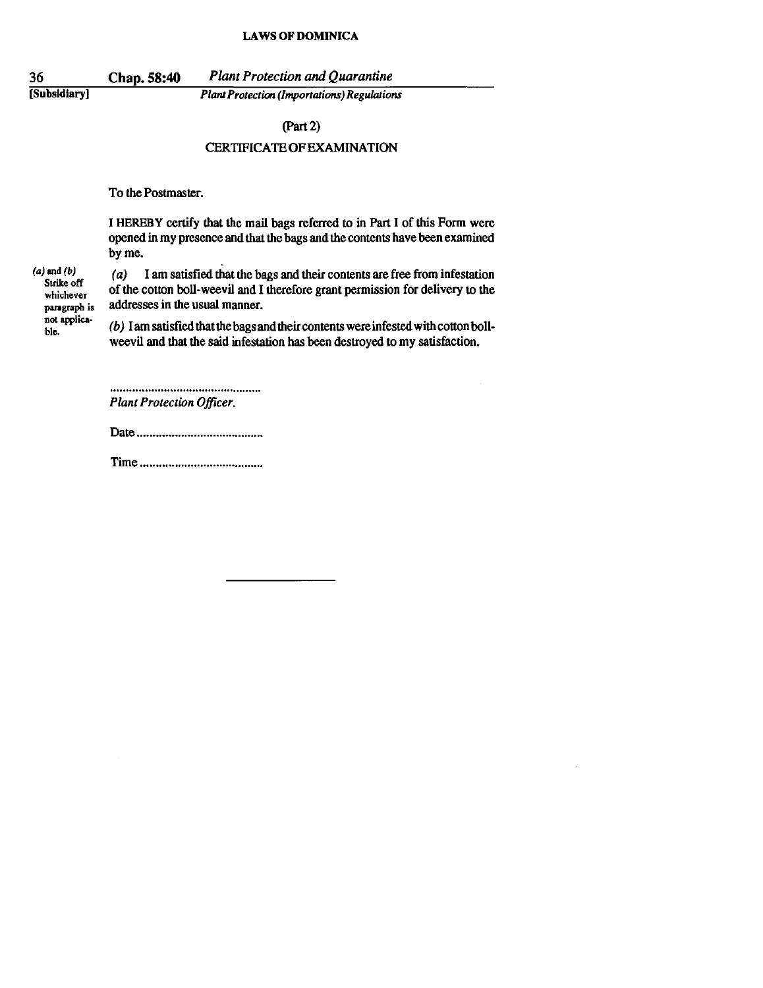[Subsidiary]

Chap. 58:40 *Plant Protection and Quarantine Planl Protection (Importations) Regulations* 

#### (Part 2)

## CERTIFICATE OF EXAMINATION

To the Postmaster.

I HEREBY certify that the mail bags referred to in Part I of this Form were opened in my presence and that the bags and the contents have been examined by me.

 $(a)$  and  $(b)$ **Strike off whichever paragraph is not applica**ble.

(a) I am satisfied that the bags and their contents are free from infestation of the cotton boil· weevil and I therefore grant permission for delivery to the addresses in the usual manner.

(b) I am satisfied that the bags and their contents were infested with cotton boil· weevil and that the said infestation has been destroyed to my satisfaction.

*Plant Protection Officer.* 

Date ...................................... ..

Time ...................................... .

36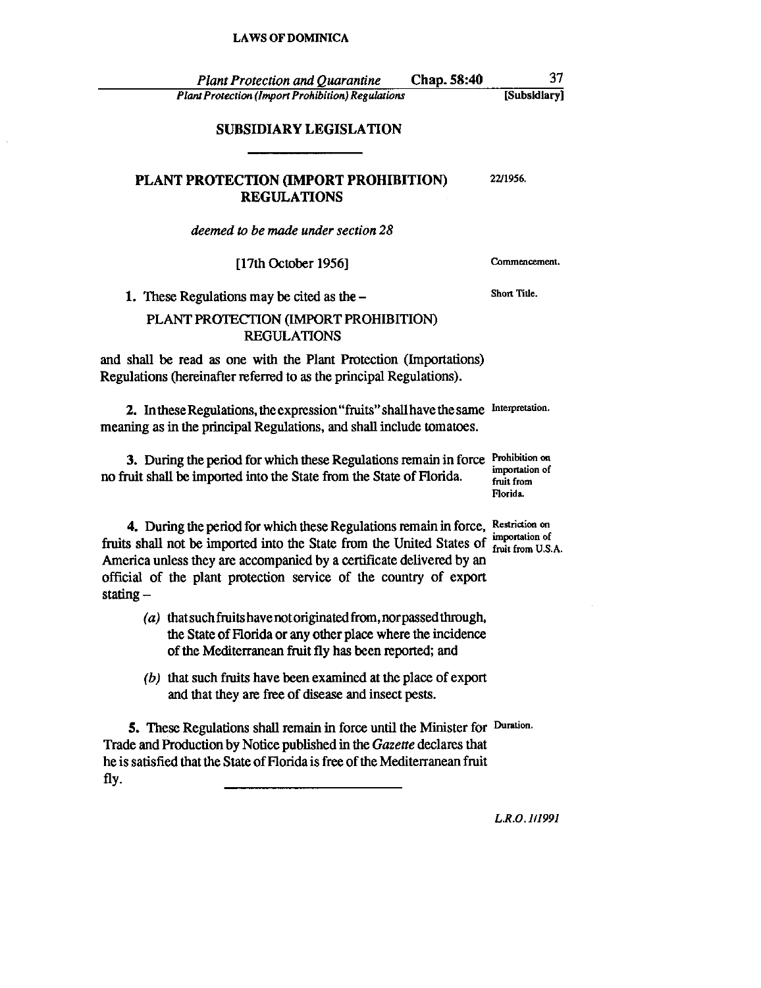$\hat{\mathcal{L}}$ 

| Chap. 58:40<br><b>Plant Protection and Quarantine</b>                                                                                                                                                                                                                                                  | 37                                                         |
|--------------------------------------------------------------------------------------------------------------------------------------------------------------------------------------------------------------------------------------------------------------------------------------------------------|------------------------------------------------------------|
| <b>Plant Protection (Import Prohibition) Regulations</b>                                                                                                                                                                                                                                               | [Subsidiary]                                               |
| <b>SUBSIDIARY LEGISLATION</b>                                                                                                                                                                                                                                                                          |                                                            |
| PLANT PROTECTION (IMPORT PROHIBITION)<br><b>REGULATIONS</b>                                                                                                                                                                                                                                            | 22/1956.                                                   |
| deemed to be made under section 28                                                                                                                                                                                                                                                                     |                                                            |
| [17th October 1956]                                                                                                                                                                                                                                                                                    | Commencement.                                              |
| 1. These Regulations may be cited as the $-$                                                                                                                                                                                                                                                           | Short Title.                                               |
| PLANT PROTECTION (IMPORT PROHIBITION)<br><b>REGULATIONS</b>                                                                                                                                                                                                                                            |                                                            |
| and shall be read as one with the Plant Protection (Importations)<br>Regulations (hereinafter referred to as the principal Regulations).                                                                                                                                                               |                                                            |
| 2. In these Regulations, the expression "fruits" shall have the same<br>meaning as in the principal Regulations, and shall include tomatoes.                                                                                                                                                           | Interpretation.                                            |
| 3. During the period for which these Regulations remain in force<br>no fruit shall be imported into the State from the State of Florida.                                                                                                                                                               | Prohibition on<br>importation of<br>fruit from<br>Florida. |
| 4. During the period for which these Regulations remain in force,<br>fruits shall not be imported into the State from the United States of<br>America unless they are accompanied by a certificate delivered by an<br>official of the plant protection service of the country of export<br>stating $-$ | Restriction on<br>importation of<br>fruit from U.S.A.      |
| (a) that such fruits have not originated from, nor passed through,<br>the State of Florida or any other place where the incidence<br>of the Mediterranean fruit fly has been reported; and                                                                                                             |                                                            |
| $(b)$ that such fruits have been examined at the place of export<br>and that they are free of disease and insect pests.                                                                                                                                                                                |                                                            |
| 5. These Regulations shall remain in force until the Minister for Duration.<br>Trade and Production by Notice published in the Gazette declares that<br>he is satisfied that the State of Florida is free of the Mediterranean fruit<br>fly.                                                           |                                                            |
|                                                                                                                                                                                                                                                                                                        | L R.O. 1/1991                                              |

 $\mathcal{L}^{\mathcal{L}}$